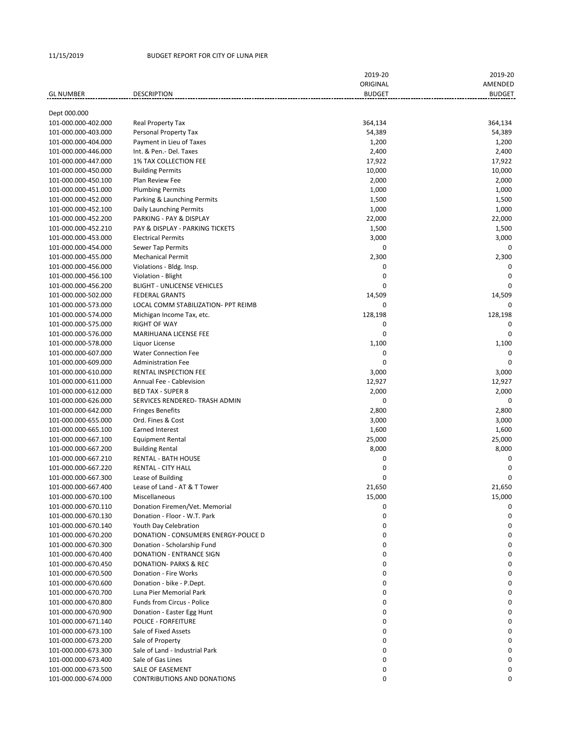## 11/15/2019 BUDGET REPORT FOR CITY OF LUNA PIER

|                     |                                      | 2019-20       | 2019-20       |
|---------------------|--------------------------------------|---------------|---------------|
|                     |                                      | ORIGINAL      | AMENDED       |
| <b>GL NUMBER</b>    | <b>DESCRIPTION</b>                   | <b>BUDGET</b> | <b>BUDGET</b> |
|                     |                                      |               |               |
| Dept 000.000        |                                      |               |               |
| 101-000.000-402.000 | Real Property Tax                    | 364,134       | 364,134       |
| 101-000.000-403.000 | Personal Property Tax                | 54,389        | 54,389        |
| 101-000.000-404.000 | Payment in Lieu of Taxes             | 1,200         | 1,200         |
| 101-000.000-446.000 | Int. & Pen.- Del. Taxes              | 2,400         | 2,400         |
| 101-000.000-447.000 | <b>1% TAX COLLECTION FEE</b>         | 17,922        | 17,922        |
| 101-000.000-450.000 | <b>Building Permits</b>              | 10,000        | 10,000        |
| 101-000.000-450.100 | Plan Review Fee                      | 2,000         | 2,000         |
| 101-000.000-451.000 | <b>Plumbing Permits</b>              | 1,000         | 1,000         |
| 101-000.000-452.000 | Parking & Launching Permits          | 1,500         | 1,500         |
| 101-000.000-452.100 | Daily Launching Permits              | 1,000         | 1,000         |
| 101-000.000-452.200 | PARKING - PAY & DISPLAY              | 22,000        | 22,000        |
| 101-000.000-452.210 | PAY & DISPLAY - PARKING TICKETS      | 1,500         | 1,500         |
| 101-000.000-453.000 | <b>Electrical Permits</b>            | 3,000         | 3,000         |
| 101-000.000-454.000 | Sewer Tap Permits                    | 0             | 0             |
| 101-000.000-455.000 | <b>Mechanical Permit</b>             | 2,300         | 2,300         |
| 101-000.000-456.000 | Violations - Bldg. Insp.             | 0             | 0             |
| 101-000.000-456.100 | Violation - Blight                   | 0             | $\Omega$      |
| 101-000.000-456.200 | <b>BLIGHT - UNLICENSE VEHICLES</b>   | 0             | $\Omega$      |
| 101-000.000-502.000 | <b>FEDERAL GRANTS</b>                | 14,509        | 14,509        |
| 101-000.000-573.000 | LOCAL COMM STABILIZATION- PPT REIMB  | 0             | $\Omega$      |
| 101-000.000-574.000 | Michigan Income Tax, etc.            | 128,198       | 128,198       |
| 101-000.000-575.000 | <b>RIGHT OF WAY</b>                  | 0             | 0             |
| 101-000.000-576.000 | MARIHUANA LICENSE FEE                | 0             | 0             |
| 101-000.000-578.000 | Liquor License                       | 1,100         | 1,100         |
| 101-000.000-607.000 | <b>Water Connection Fee</b>          | 0             | $\Omega$      |
| 101-000.000-609.000 | <b>Administration Fee</b>            | 0             | $\Omega$      |
| 101-000.000-610.000 | RENTAL INSPECTION FEE                | 3,000         | 3,000         |
| 101-000.000-611.000 | Annual Fee - Cablevision             | 12,927        | 12,927        |
| 101-000.000-612.000 | <b>BED TAX - SUPER 8</b>             | 2,000         | 2,000         |
| 101-000.000-626.000 | SERVICES RENDERED- TRASH ADMIN       | 0             | 0             |
| 101-000.000-642.000 | <b>Fringes Benefits</b>              | 2,800         | 2,800         |
| 101-000.000-655.000 | Ord. Fines & Cost                    | 3,000         | 3,000         |
| 101-000.000-665.100 | Earned Interest                      | 1,600         | 1,600         |
| 101-000.000-667.100 | <b>Equipment Rental</b>              | 25,000        | 25,000        |
| 101-000.000-667.200 | <b>Building Rental</b>               | 8,000         | 8,000         |
| 101-000.000-667.210 | <b>RENTAL - BATH HOUSE</b>           | 0             | $\mathbf 0$   |
| 101-000.000-667.220 | <b>RENTAL - CITY HALL</b>            | 0             | $\mathbf 0$   |
| 101-000.000-667.300 | Lease of Building                    | 0             | 0             |
| 101-000.000-667.400 | Lease of Land - AT & T Tower         | 21,650        | 21,650        |
| 101-000.000-670.100 | Miscellaneous                        | 15,000        | 15,000        |
| 101-000.000-670.110 | Donation Firemen/Vet. Memorial       | 0             | 0             |
| 101-000.000-670.130 | Donation - Floor - W.T. Park         | 0             | 0             |
| 101-000.000-670.140 | Youth Day Celebration                | 0             | 0             |
| 101-000.000-670.200 | DONATION - CONSUMERS ENERGY-POLICE D | 0             | 0             |
| 101-000.000-670.300 | Donation - Scholarship Fund          | 0             | 0             |
| 101-000.000-670.400 | DONATION - ENTRANCE SIGN             | 0             | 0             |
| 101-000.000-670.450 | DONATION- PARKS & REC                | 0             | 0             |
| 101-000.000-670.500 | Donation - Fire Works                | 0             | 0             |
| 101-000.000-670.600 | Donation - bike - P.Dept.            | 0             | 0             |
| 101-000.000-670.700 | Luna Pier Memorial Park              | 0             | 0             |
| 101-000.000-670.800 | <b>Funds from Circus - Police</b>    | 0             | 0             |
| 101-000.000-670.900 | Donation - Easter Egg Hunt           | 0             | 0             |
| 101-000.000-671.140 | <b>POLICE - FORFEITURE</b>           | 0             | 0             |
| 101-000.000-673.100 | Sale of Fixed Assets                 | 0             | 0             |
| 101-000.000-673.200 | Sale of Property                     | 0             | 0             |
| 101-000.000-673.300 | Sale of Land - Industrial Park       | 0             | 0             |
| 101-000.000-673.400 | Sale of Gas Lines                    | 0             | 0             |
| 101-000.000-673.500 | SALE OF EASEMENT                     | 0             | 0             |
| 101-000.000-674.000 | <b>CONTRIBUTIONS AND DONATIONS</b>   | 0             | 0             |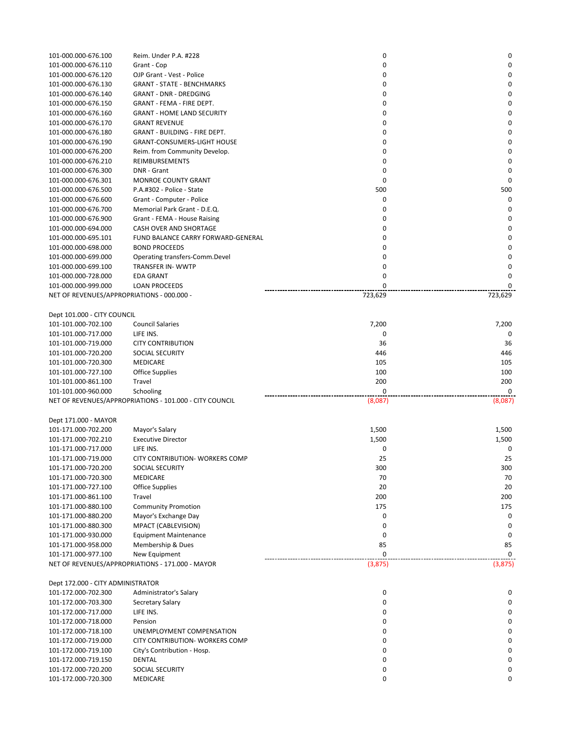| 101-000.000-676.100                        | Reim. Under P.A. #228                                   | 0       | 0           |
|--------------------------------------------|---------------------------------------------------------|---------|-------------|
| 101-000.000-676.110                        | Grant - Cop                                             | 0       | 0           |
| 101-000.000-676.120                        | OJP Grant - Vest - Police                               | 0       | 0           |
|                                            | <b>GRANT - STATE - BENCHMARKS</b>                       | 0       | 0           |
| 101-000.000-676.130                        |                                                         |         |             |
| 101-000.000-676.140                        | <b>GRANT - DNR - DREDGING</b>                           | 0       | 0           |
| 101-000.000-676.150                        | GRANT - FEMA - FIRE DEPT.                               | 0       | 0           |
| 101-000.000-676.160                        | <b>GRANT - HOME LAND SECURITY</b>                       | 0       | 0           |
| 101-000.000-676.170                        | <b>GRANT REVENUE</b>                                    | 0       | $\mathbf 0$ |
|                                            |                                                         |         |             |
| 101-000.000-676.180                        | GRANT - BUILDING - FIRE DEPT.                           | 0       | 0           |
| 101-000.000-676.190                        | <b>GRANT-CONSUMERS-LIGHT HOUSE</b>                      | 0       | 0           |
| 101-000.000-676.200                        | Reim. from Community Develop.                           | 0       | 0           |
| 101-000.000-676.210                        | REIMBURSEMENTS                                          | 0       | 0           |
| 101-000.000-676.300                        | DNR - Grant                                             | 0       | 0           |
|                                            |                                                         |         |             |
| 101-000.000-676.301                        | <b>MONROE COUNTY GRANT</b>                              | 0       | $\mathbf 0$ |
| 101-000.000-676.500                        | P.A.#302 - Police - State                               | 500     | 500         |
| 101-000.000-676.600                        | Grant - Computer - Police                               | 0       | $\mathbf 0$ |
| 101-000.000-676.700                        | Memorial Park Grant - D.E.Q.                            | 0       | 0           |
|                                            |                                                         |         |             |
| 101-000.000-676.900                        | Grant - FEMA - House Raising                            | 0       | $\mathbf 0$ |
| 101-000.000-694.000                        | CASH OVER AND SHORTAGE                                  | 0       | $\mathbf 0$ |
| 101-000.000-695.101                        | FUND BALANCE CARRY FORWARD-GENERAL                      | 0       | 0           |
| 101-000.000-698.000                        | <b>BOND PROCEEDS</b>                                    | 0       | 0           |
| 101-000.000-699.000                        |                                                         | 0       | 0           |
|                                            | Operating transfers-Comm.Devel                          |         |             |
| 101-000.000-699.100                        | TRANSFER IN-WWTP                                        | 0       | 0           |
| 101-000.000-728.000                        | <b>EDA GRANT</b>                                        | 0       | 0           |
| 101-000.000-999.000                        | <b>LOAN PROCEEDS</b>                                    | 0       | 0           |
| NET OF REVENUES/APPROPRIATIONS - 000.000 - |                                                         | 723,629 | 723,629     |
|                                            |                                                         |         |             |
|                                            |                                                         |         |             |
| Dept 101.000 - CITY COUNCIL                |                                                         |         |             |
| 101-101.000-702.100                        | <b>Council Salaries</b>                                 | 7,200   | 7,200       |
| 101-101.000-717.000                        | LIFE INS.                                               | 0       | $\Omega$    |
|                                            |                                                         |         |             |
| 101-101.000-719.000                        | <b>CITY CONTRIBUTION</b>                                | 36      | 36          |
| 101-101.000-720.200                        | <b>SOCIAL SECURITY</b>                                  | 446     | 446         |
| 101-101.000-720.300                        | MEDICARE                                                | 105     | 105         |
| 101-101.000-727.100                        | Office Supplies                                         | 100     | 100         |
| 101-101.000-861.100                        | Travel                                                  | 200     | 200         |
|                                            |                                                         |         |             |
| 101-101.000-960.000                        | Schooling                                               | 0       | $\mathbf 0$ |
|                                            | NET OF REVENUES/APPROPRIATIONS - 101.000 - CITY COUNCIL | (8,087) | (8,087)     |
|                                            |                                                         |         |             |
|                                            |                                                         |         |             |
|                                            |                                                         |         |             |
| Dept 171.000 - MAYOR                       |                                                         |         |             |
| 101-171.000-702.200                        | Mayor's Salary                                          | 1,500   | 1,500       |
| 101-171.000-702.210                        | <b>Executive Director</b>                               | 1,500   | 1,500       |
| 101-171.000-717.000                        | LIFE INS.                                               | 0       | 0           |
|                                            |                                                         | 25      |             |
| 101-171.000-719.000                        | CITY CONTRIBUTION- WORKERS COMP                         |         | 25          |
| 101-171.000-720.200                        | SOCIAL SECURITY                                         | 300     | 300         |
| 101-171.000-720.300                        | MEDICARE                                                | 70      | 70          |
| 101-171.000-727.100                        | Office Supplies                                         | 20      | 20          |
| 101-171.000-861.100                        | Travel                                                  | 200     | 200         |
|                                            |                                                         |         |             |
| 101-171.000-880.100                        | <b>Community Promotion</b>                              | 175     | 175         |
| 101-171.000-880.200                        | Mayor's Exchange Day                                    | 0       | 0           |
| 101-171.000-880.300                        | MPACT (CABLEVISION)                                     | 0       | 0           |
| 101-171.000-930.000                        | <b>Equipment Maintenance</b>                            | 0       | 0           |
| 101-171.000-958.000                        |                                                         | 85      | 85          |
|                                            | Membership & Dues                                       |         |             |
| 101-171.000-977.100                        | New Equipment                                           | 0       | 0           |
|                                            | NET OF REVENUES/APPROPRIATIONS - 171.000 - MAYOR        | (3,875) | (3,875)     |
|                                            |                                                         |         |             |
| Dept 172.000 - CITY ADMINISTRATOR          |                                                         |         |             |
| 101-172.000-702.300                        | Administrator's Salary                                  | 0       | 0           |
|                                            |                                                         |         |             |
| 101-172.000-703.300                        | Secretary Salary                                        | 0       | 0           |
| 101-172.000-717.000                        | LIFE INS.                                               | 0       | 0           |
| 101-172.000-718.000                        | Pension                                                 | 0       | 0           |
| 101-172.000-718.100                        | UNEMPLOYMENT COMPENSATION                               | 0       | 0           |
| 101-172.000-719.000                        | CITY CONTRIBUTION- WORKERS COMP                         | 0       | 0           |
|                                            |                                                         |         |             |
| 101-172.000-719.100                        | City's Contribution - Hosp.                             | 0       | 0           |
| 101-172.000-719.150                        | DENTAL                                                  | 0       | 0           |
| 101-172.000-720.200                        | SOCIAL SECURITY                                         | 0       | 0           |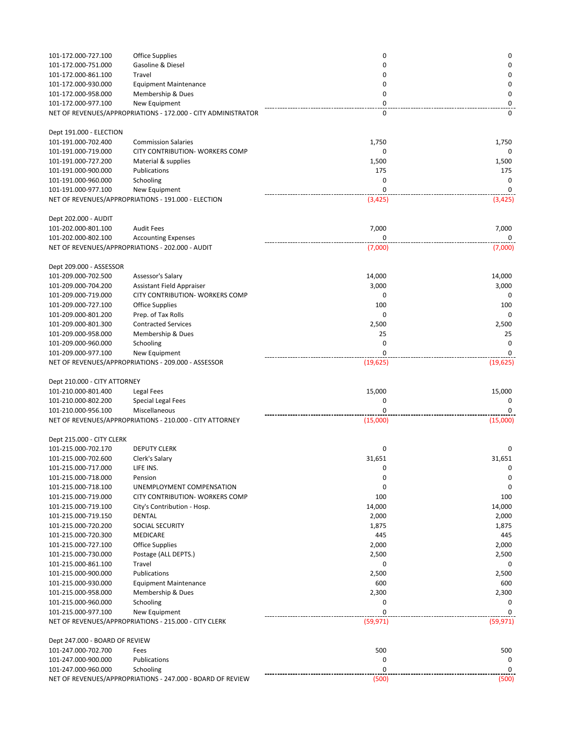| 101-172.000-727.100                                 | <b>Office Supplies</b>                                        | 0            | 0            |
|-----------------------------------------------------|---------------------------------------------------------------|--------------|--------------|
| 101-172.000-751.000                                 | Gasoline & Diesel                                             | 0            | 0            |
| 101-172.000-861.100                                 | Travel                                                        | 0            | 0            |
| 101-172.000-930.000                                 | <b>Equipment Maintenance</b>                                  | 0            | 0            |
| 101-172.000-958.000                                 | Membership & Dues                                             | 0            | 0            |
| 101-172.000-977.100                                 | New Equipment                                                 | 0            | 0            |
|                                                     | NET OF REVENUES/APPROPRIATIONS - 172.000 - CITY ADMINISTRATOR | 0            | 0            |
|                                                     |                                                               |              |              |
| Dept 191.000 - ELECTION                             |                                                               |              |              |
| 101-191.000-702.400                                 | <b>Commission Salaries</b>                                    | 1,750        | 1,750        |
| 101-191.000-719.000                                 | <b>CITY CONTRIBUTION- WORKERS COMP</b>                        | 0            | 0            |
| 101-191.000-727.200                                 | Material & supplies<br>Publications                           | 1,500<br>175 | 1,500<br>175 |
| 101-191.000-900.000<br>101-191.000-960.000          | Schooling                                                     | 0            | 0            |
| 101-191.000-977.100                                 | New Equipment                                                 | 0            | 0            |
|                                                     | NET OF REVENUES/APPROPRIATIONS - 191.000 - ELECTION           | (3, 425)     | (3, 425)     |
|                                                     |                                                               |              |              |
| Dept 202.000 - AUDIT                                |                                                               |              |              |
| 101-202.000-801.100                                 | <b>Audit Fees</b>                                             | 7,000        | 7,000        |
| 101-202.000-802.100                                 | <b>Accounting Expenses</b>                                    | $\mathbf 0$  | 0            |
|                                                     | NET OF REVENUES/APPROPRIATIONS - 202.000 - AUDIT              | (7,000)      | (7,000)      |
|                                                     |                                                               |              |              |
| Dept 209.000 - ASSESSOR                             |                                                               |              |              |
| 101-209.000-702.500                                 | Assessor's Salary                                             | 14,000       | 14,000       |
| 101-209.000-704.200                                 | Assistant Field Appraiser                                     | 3,000        | 3,000        |
| 101-209.000-719.000                                 | CITY CONTRIBUTION- WORKERS COMP                               | 0            | 0            |
| 101-209.000-727.100                                 | <b>Office Supplies</b>                                        | 100          | 100          |
| 101-209.000-801.200                                 | Prep. of Tax Rolls                                            | 0            | 0            |
| 101-209.000-801.300                                 | <b>Contracted Services</b>                                    | 2,500        | 2,500        |
| 101-209.000-958.000                                 | Membership & Dues                                             | 25           | 25           |
| 101-209.000-960.000                                 | Schooling                                                     | 0            | 0            |
| 101-209.000-977.100                                 | New Equipment                                                 | $\mathbf 0$  | 0            |
|                                                     | NET OF REVENUES/APPROPRIATIONS - 209.000 - ASSESSOR           | (19, 625)    | (19, 625)    |
|                                                     |                                                               |              |              |
| Dept 210.000 - CITY ATTORNEY<br>101-210.000-801.400 |                                                               |              |              |
| 101-210.000-802.200                                 | Legal Fees<br><b>Special Legal Fees</b>                       | 15,000<br>0  | 15,000<br>0  |
| 101-210.000-956.100                                 | Miscellaneous                                                 | $\Omega$     | 0            |
|                                                     | NET OF REVENUES/APPROPRIATIONS - 210.000 - CITY ATTORNEY      | (15,000)     | (15,000)     |
|                                                     |                                                               |              |              |
| Dept 215.000 - CITY CLERK                           |                                                               |              |              |
| 101-215.000-702.170                                 | <b>DEPUTY CLERK</b>                                           | 0            | 0            |
| 101-215.000-702.600                                 | Clerk's Salary                                                | 31,651       | 31,651       |
| 101-215.000-717.000                                 | LIFE INS.                                                     | U            | U            |
| 101-215.000-718.000                                 | Pension                                                       | 0            | 0            |
| 101-215.000-718.100                                 | UNEMPLOYMENT COMPENSATION                                     | 0            | 0            |
| 101-215.000-719.000                                 | CITY CONTRIBUTION- WORKERS COMP                               | 100          | 100          |
| 101-215.000-719.100                                 | City's Contribution - Hosp.                                   | 14,000       | 14,000       |
| 101-215.000-719.150                                 | DENTAL                                                        | 2,000        | 2,000        |
| 101-215.000-720.200                                 | SOCIAL SECURITY                                               | 1,875        | 1,875        |
| 101-215.000-720.300                                 | MEDICARE                                                      | 445          | 445          |
| 101-215.000-727.100                                 | <b>Office Supplies</b>                                        | 2,000        | 2,000        |
| 101-215.000-730.000                                 | Postage (ALL DEPTS.)                                          | 2,500        | 2,500        |
| 101-215.000-861.100                                 | Travel                                                        | 0            |              |
| 101-215.000-900.000                                 | Publications                                                  | 2,500        | 2,500        |
| 101-215.000-930.000                                 | <b>Equipment Maintenance</b>                                  | 600          | 600          |
| 101-215.000-958.000                                 | Membership & Dues                                             | 2,300        | 2,300        |
| 101-215.000-960.000                                 | Schooling                                                     | 0            | 0            |
| 101-215.000-977.100                                 | New Equipment                                                 | $\Omega$     | 0            |
|                                                     | NET OF REVENUES/APPROPRIATIONS - 215.000 - CITY CLERK         | (59, 971)    | (59, 971)    |
|                                                     |                                                               |              |              |
| Dept 247.000 - BOARD OF REVIEW                      |                                                               |              |              |
| 101-247.000-702.700<br>101-247.000-900.000          | Fees<br>Publications                                          | 500<br>0     | 500<br>0     |
| 101-247.000-960.000                                 | Schooling                                                     | 0            | 0            |
|                                                     | NET OF REVENUES/APPROPRIATIONS - 247.000 - BOARD OF REVIEW    | (500)        | (500)        |
|                                                     |                                                               |              |              |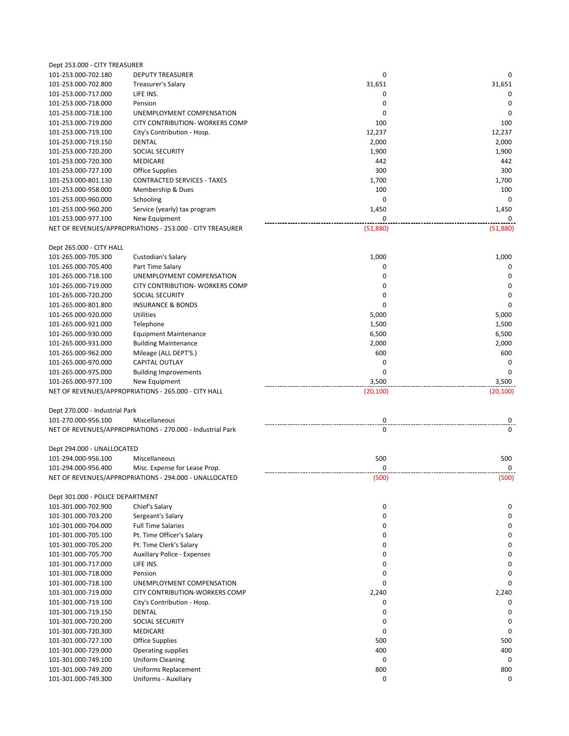| Dept 253.000 - CITY TREASURER              |                                                                       |             |             |
|--------------------------------------------|-----------------------------------------------------------------------|-------------|-------------|
| 101-253.000-702.180                        | <b>DEPUTY TREASURER</b>                                               | 0           | 0           |
| 101-253.000-702.800                        | Treasurer's Salary                                                    | 31,651      | 31,651      |
| 101-253.000-717.000                        | LIFE INS.                                                             | 0           | 0           |
| 101-253.000-718.000                        | Pension                                                               | $\mathbf 0$ | $\mathbf 0$ |
| 101-253.000-718.100                        | UNEMPLOYMENT COMPENSATION                                             | 0           | $\mathbf 0$ |
| 101-253.000-719.000                        | <b>CITY CONTRIBUTION- WORKERS COMP</b>                                | 100         | 100         |
| 101-253.000-719.100                        | City's Contribution - Hosp.                                           | 12,237      | 12,237      |
| 101-253.000-719.150                        | DENTAL                                                                | 2,000       | 2,000       |
| 101-253.000-720.200                        | <b>SOCIAL SECURITY</b>                                                | 1,900       | 1,900       |
| 101-253.000-720.300                        | <b>MEDICARE</b>                                                       | 442         | 442         |
| 101-253.000-727.100                        | <b>Office Supplies</b>                                                | 300         | 300         |
| 101-253.000-801.130                        | <b>CONTRACTED SERVICES - TAXES</b>                                    | 1,700       | 1,700       |
| 101-253.000-958.000                        | Membership & Dues                                                     | 100         | 100         |
| 101-253.000-960.000                        | Schooling                                                             | 0           | $\mathbf 0$ |
|                                            |                                                                       |             |             |
| 101-253.000-960.200                        | Service (yearly) tax program                                          | 1,450       | 1,450       |
| 101-253.000-977.100                        | New Equipment                                                         | 0           | 0           |
|                                            | NET OF REVENUES/APPROPRIATIONS - 253.000 - CITY TREASURER             | (51,880)    | (51,880)    |
| Dept 265.000 - CITY HALL                   |                                                                       |             |             |
| 101-265.000-705.300                        | Custodian's Salary                                                    | 1,000       | 1,000       |
| 101-265.000-705.400                        | Part Time Salary                                                      | 0           | 0           |
| 101-265.000-718.100                        | UNEMPLOYMENT COMPENSATION                                             | $\mathbf 0$ | $\mathbf 0$ |
| 101-265.000-719.000                        | CITY CONTRIBUTION- WORKERS COMP                                       | 0           | $\mathbf 0$ |
|                                            |                                                                       |             |             |
| 101-265.000-720.200                        | SOCIAL SECURITY                                                       | 0           | 0           |
| 101-265.000-801.800                        | <b>INSURANCE &amp; BONDS</b>                                          | 0           | 0           |
| 101-265.000-920.000                        | Utilities                                                             | 5,000       | 5,000       |
| 101-265.000-921.000                        | Telephone                                                             | 1,500       | 1,500       |
| 101-265.000-930.000                        | <b>Equipment Maintenance</b>                                          | 6,500       | 6,500       |
| 101-265.000-931.000                        | <b>Building Maintenance</b>                                           | 2,000       | 2,000       |
| 101-265.000-962.000                        | Mileage (ALL DEPT'S.)                                                 | 600         | 600         |
| 101-265.000-970.000                        | <b>CAPITAL OUTLAY</b>                                                 | $\mathbf 0$ | 0           |
|                                            |                                                                       |             | 0           |
| 101-265.000-975.000                        |                                                                       | 0           |             |
| 101-265.000-977.100                        | <b>Building Improvements</b>                                          | 3,500       | 3,500       |
|                                            | New Equipment<br>NET OF REVENUES/APPROPRIATIONS - 265.000 - CITY HALL | (20, 100)   | (20, 100)   |
|                                            |                                                                       |             |             |
| Dept 270.000 - Industrial Park             |                                                                       |             |             |
| 101-270.000-956.100                        | Miscellaneous                                                         | 0           | 0           |
|                                            | NET OF REVENUES/APPROPRIATIONS - 270.000 - Industrial Park            | 0           | 0           |
|                                            |                                                                       |             |             |
| Dept 294.000 - UNALLOCATED                 |                                                                       |             |             |
| 101-294.000-956.100                        | Miscellaneous                                                         | 500         | 500         |
| 101-294.000-956.400                        | Misc. Expense for Lease Prop.                                         | 0           | $\mathbf 0$ |
|                                            | NET OF REVENUES/APPROPRIATIONS - 294,000 - UNALLOCATED                | (500)       | (500)       |
|                                            |                                                                       |             |             |
| Dept 301.000 - POLICE DEPARTMENT           |                                                                       |             |             |
| 101-301.000-702.900                        | Chief's Salary                                                        | 0           | 0           |
| 101-301.000-703.200                        | Sergeant's Salary                                                     | 0           | 0           |
| 101-301.000-704.000                        | <b>Full Time Salaries</b>                                             | 0           | 0           |
| 101-301.000-705.100                        | Pt. Time Officer's Salary                                             | 0           | 0           |
| 101-301.000-705.200                        | Pt. Time Clerk's Salary                                               | 0           | 0           |
| 101-301.000-705.700                        | <b>Auxiliary Police - Expenses</b>                                    | 0           | 0           |
| 101-301.000-717.000                        | LIFE INS.                                                             | 0           | 0           |
| 101-301.000-718.000                        | Pension                                                               | 0           | 0           |
| 101-301.000-718.100                        | UNEMPLOYMENT COMPENSATION                                             | $\Omega$    | $\Omega$    |
| 101-301.000-719.000                        | <b>CITY CONTRIBUTION-WORKERS COMP</b>                                 | 2,240       | 2,240       |
| 101-301.000-719.100                        | City's Contribution - Hosp.                                           | 0           | $\mathbf 0$ |
| 101-301.000-719.150                        | <b>DENTAL</b>                                                         | 0           | 0           |
| 101-301.000-720.200                        | SOCIAL SECURITY                                                       | 0           | 0           |
|                                            |                                                                       |             |             |
| 101-301.000-720.300                        | <b>MEDICARE</b>                                                       | 0           | $\mathbf 0$ |
| 101-301.000-727.100                        | Office Supplies                                                       | 500         | 500         |
| 101-301.000-729.000                        | Operating supplies                                                    | 400         | 400         |
| 101-301.000-749.100                        | Uniform Cleaning                                                      | 0           | 0           |
| 101-301.000-749.200<br>101-301.000-749.300 | Uniforms Replacement<br>Uniforms - Auxiliary                          | 800<br>0    | 800<br>0    |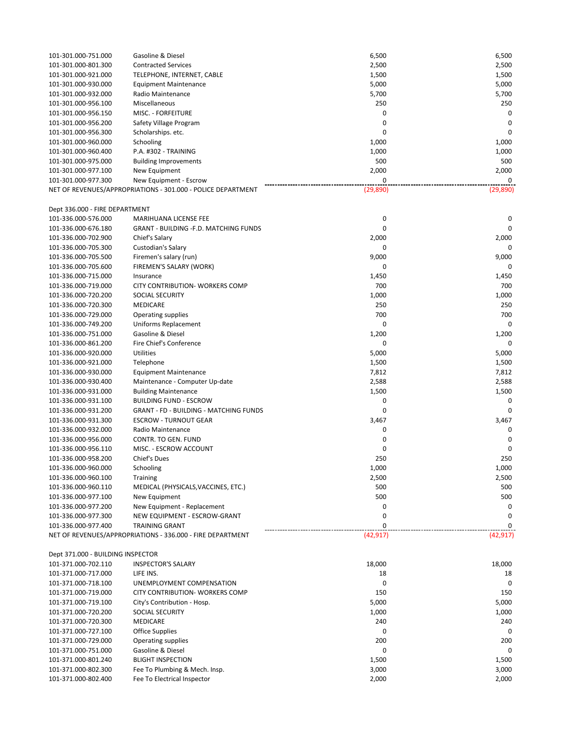| 101-301.000-751.000                        | Gasoline & Diesel                                            | 6,500        | 6,500        |
|--------------------------------------------|--------------------------------------------------------------|--------------|--------------|
| 101-301.000-801.300                        | <b>Contracted Services</b>                                   | 2,500        | 2,500        |
| 101-301.000-921.000                        | TELEPHONE, INTERNET, CABLE                                   | 1,500        | 1,500        |
| 101-301.000-930.000                        | <b>Equipment Maintenance</b>                                 | 5,000        | 5,000        |
| 101-301.000-932.000                        | Radio Maintenance                                            | 5,700        | 5,700        |
| 101-301.000-956.100                        | Miscellaneous                                                | 250          | 250          |
| 101-301.000-956.150                        | MISC. - FORFEITURE                                           | 0            | 0            |
| 101-301.000-956.200                        | Safety Village Program                                       | $\mathbf 0$  | $\mathbf 0$  |
| 101-301.000-956.300                        | Scholarships. etc.                                           | 0            | 0            |
| 101-301.000-960.000                        | Schooling                                                    | 1,000        | 1,000        |
| 101-301.000-960.400                        | P.A. #302 - TRAINING                                         | 1,000        | 1,000        |
| 101-301.000-975.000                        | <b>Building Improvements</b>                                 | 500          | 500          |
| 101-301.000-977.100                        | New Equipment                                                | 2,000        | 2,000        |
| 101-301.000-977.300                        | New Equipment - Escrow                                       | $\mathbf 0$  | 0            |
|                                            | NET OF REVENUES/APPROPRIATIONS - 301.000 - POLICE DEPARTMENT | (29, 890)    | (29, 890)    |
| Dept 336.000 - FIRE DEPARTMENT             |                                                              |              |              |
| 101-336.000-576.000                        | MARIHUANA LICENSE FEE                                        | 0            | 0            |
| 101-336.000-676.180                        | <b>GRANT - BUILDING -F.D. MATCHING FUNDS</b>                 | 0            | $\mathbf 0$  |
| 101-336.000-702.900                        | Chief's Salary                                               | 2,000        | 2,000        |
| 101-336.000-705.300                        | Custodian's Salary                                           | 0            | 0            |
| 101-336.000-705.500                        | Firemen's salary (run)                                       | 9,000        | 9,000        |
| 101-336.000-705.600                        | FIREMEN'S SALARY (WORK)                                      | 0            | 0            |
| 101-336.000-715.000                        | Insurance                                                    | 1,450        | 1,450        |
| 101-336.000-719.000                        | <b>CITY CONTRIBUTION- WORKERS COMP</b>                       | 700          | 700          |
| 101-336.000-720.200                        | SOCIAL SECURITY                                              | 1,000        | 1,000        |
| 101-336.000-720.300                        | MEDICARE                                                     | 250          | 250          |
| 101-336.000-729.000                        | Operating supplies                                           | 700          | 700          |
| 101-336.000-749.200                        | Uniforms Replacement                                         | 0            | 0            |
| 101-336.000-751.000                        | Gasoline & Diesel                                            | 1,200        | 1,200        |
| 101-336.000-861.200                        | Fire Chief's Conference                                      | 0            | 0            |
| 101-336.000-920.000                        | <b>Utilities</b>                                             | 5,000        | 5,000        |
| 101-336.000-921.000                        | Telephone                                                    | 1,500        | 1,500        |
| 101-336.000-930.000                        | <b>Equipment Maintenance</b>                                 | 7,812        | 7,812        |
| 101-336.000-930.400                        | Maintenance - Computer Up-date                               | 2,588        | 2,588        |
| 101-336.000-931.000                        | <b>Building Maintenance</b>                                  | 1,500        | 1,500        |
| 101-336.000-931.100                        | <b>BUILDING FUND - ESCROW</b>                                | 0            | 0            |
| 101-336.000-931.200                        | <b>GRANT - FD - BUILDING - MATCHING FUNDS</b>                | 0            | $\mathbf 0$  |
| 101-336.000-931.300                        | <b>ESCROW - TURNOUT GEAR</b>                                 | 3,467        | 3,467        |
| 101-336.000-932.000                        | Radio Maintenance                                            | 0            | 0            |
| 101-336.000-956.000                        | CONTR. TO GEN. FUND                                          | 0            | 0            |
| 101-336.000-956.110                        | MISC. - ESCROW ACCOUNT                                       | 0            | 0            |
| 101-336.000-958.200                        | <b>Chief's Dues</b>                                          | 250          | 250          |
| 101-336.000-960.000                        | Schooling                                                    | 1,000        | 1,000        |
| 101-336.000-960.100                        | Training                                                     | 2,500<br>500 | 2,500<br>500 |
| 101-336.000-960.110<br>101-336.000-977.100 | MEDICAL (PHYSICALS, VACCINES, ETC.)                          | 500          | 500          |
| 101-336.000-977.200                        | New Equipment<br>New Equipment - Replacement                 | 0            | 0            |
| 101-336.000-977.300                        | NEW EQUIPMENT - ESCROW-GRANT                                 | 0            | $\mathbf 0$  |
| 101-336.000-977.400                        | <b>TRAINING GRANT</b>                                        | 0            | 0            |
|                                            | NET OF REVENUES/APPROPRIATIONS - 336.000 - FIRE DEPARTMENT   | (42, 917)    | (42, 917)    |
|                                            |                                                              |              |              |
| Dept 371.000 - BUILDING INSPECTOR          |                                                              |              |              |
| 101-371.000-702.110                        | <b>INSPECTOR'S SALARY</b>                                    | 18,000       | 18,000       |
| 101-371.000-717.000                        | LIFE INS.                                                    | 18           | 18           |
| 101-371.000-718.100                        | UNEMPLOYMENT COMPENSATION                                    | $\mathbf 0$  | 0            |
| 101-371.000-719.000                        | CITY CONTRIBUTION- WORKERS COMP                              | 150          | 150          |
| 101-371.000-719.100                        | City's Contribution - Hosp.                                  | 5,000        | 5,000        |
| 101-371.000-720.200                        | SOCIAL SECURITY                                              | 1,000        | 1,000        |
| 101-371.000-720.300                        | MEDICARE                                                     | 240          | 240          |
| 101-371.000-727.100                        | <b>Office Supplies</b>                                       | 0            | 0            |
| 101-371.000-729.000                        | Operating supplies                                           | 200          | 200          |
| 101-371.000-751.000                        | Gasoline & Diesel                                            | 0            | 0            |
| 101-371.000-801.240                        | <b>BLIGHT INSPECTION</b>                                     | 1,500        | 1,500        |
| 101-371.000-802.300                        | Fee To Plumbing & Mech. Insp.                                | 3,000        | 3,000        |
| 101-371.000-802.400                        | Fee To Electrical Inspector                                  | 2,000        | 2,000        |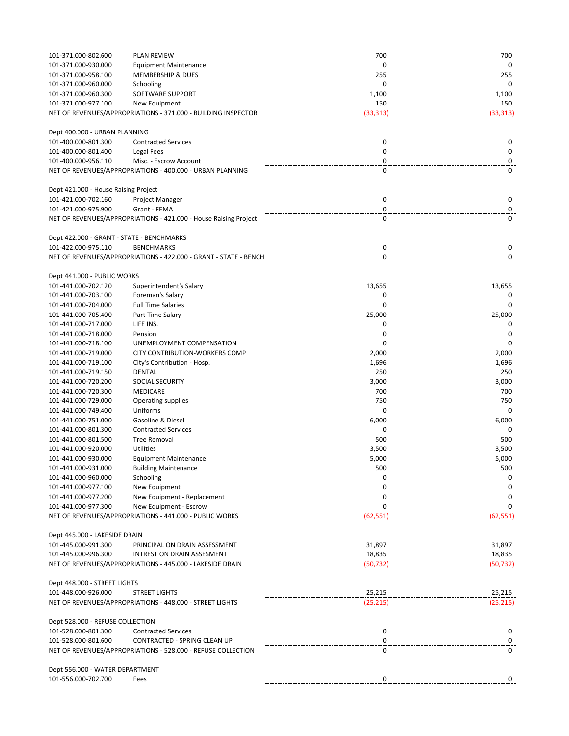| 101-371.000-802.600                       | <b>PLAN REVIEW</b>                                               | 700         | 700       |
|-------------------------------------------|------------------------------------------------------------------|-------------|-----------|
| 101-371.000-930.000                       | <b>Equipment Maintenance</b>                                     | 0           | 0         |
| 101-371.000-958.100                       | MEMBERSHIP & DUES                                                | 255         | 255       |
| 101-371.000-960.000                       | Schooling                                                        | $\mathbf 0$ | 0         |
| 101-371.000-960.300                       | SOFTWARE SUPPORT                                                 | 1,100       | 1,100     |
| 101-371.000-977.100                       | New Equipment                                                    | 150         | 150       |
|                                           | NET OF REVENUES/APPROPRIATIONS - 371.000 - BUILDING INSPECTOR    | (33, 313)   | (33, 313) |
|                                           |                                                                  |             |           |
| Dept 400.000 - URBAN PLANNING             |                                                                  |             |           |
| 101-400.000-801.300                       | <b>Contracted Services</b>                                       | 0           | 0         |
| 101-400.000-801.400                       | Legal Fees                                                       | 0           | 0         |
| 101-400.000-956.110                       | Misc. - Escrow Account                                           | 0           | 0         |
|                                           | NET OF REVENUES/APPROPRIATIONS - 400.000 - URBAN PLANNING        | 0           | 0         |
|                                           |                                                                  |             |           |
| Dept 421.000 - House Raising Project      |                                                                  |             |           |
| 101-421.000-702.160                       | Project Manager                                                  | 0           | 0         |
| 101-421.000-975.900                       | Grant - FEMA                                                     | 0           | 0         |
|                                           | NET OF REVENUES/APPROPRIATIONS - 421.000 - House Raising Project | 0           | 0         |
|                                           |                                                                  |             |           |
| Dept 422.000 - GRANT - STATE - BENCHMARKS |                                                                  |             |           |
| 101-422.000-975.110                       | <b>BENCHMARKS</b>                                                | 0           | 0         |
|                                           | NET OF REVENUES/APPROPRIATIONS - 422.000 - GRANT - STATE - BENCH | 0           | 0         |
|                                           |                                                                  |             |           |
| Dept 441.000 - PUBLIC WORKS               |                                                                  |             |           |
| 101-441.000-702.120                       | Superintendent's Salary                                          | 13,655      | 13,655    |
| 101-441.000-703.100                       | Foreman's Salary                                                 | 0           | 0         |
| 101-441.000-704.000                       | <b>Full Time Salaries</b>                                        | $\mathbf 0$ | $\Omega$  |
| 101-441.000-705.400                       | Part Time Salary                                                 | 25,000      | 25,000    |
| 101-441.000-717.000                       | LIFE INS.                                                        | 0           | 0         |
| 101-441.000-718.000                       | Pension                                                          | 0           | 0         |
| 101-441.000-718.100                       | UNEMPLOYMENT COMPENSATION                                        | 0           | 0         |
| 101-441.000-719.000                       | CITY CONTRIBUTION-WORKERS COMP                                   | 2,000       | 2,000     |
| 101-441.000-719.100                       | City's Contribution - Hosp.                                      | 1,696       | 1,696     |
| 101-441.000-719.150                       | DENTAL                                                           | 250         | 250       |
| 101-441.000-720.200                       | <b>SOCIAL SECURITY</b>                                           | 3,000       | 3,000     |
| 101-441.000-720.300                       | MEDICARE                                                         | 700         | 700       |
| 101-441.000-729.000                       | <b>Operating supplies</b>                                        | 750         | 750       |
| 101-441.000-749.400                       | Uniforms                                                         | $\mathbf 0$ | $\Omega$  |
| 101-441.000-751.000                       | Gasoline & Diesel                                                | 6,000       | 6,000     |
| 101-441.000-801.300                       | <b>Contracted Services</b>                                       | 0           | 0         |
|                                           | <b>Tree Removal</b>                                              | 500         | 500       |
| 101-441.000-801.500                       |                                                                  |             |           |
| 101-441.000-920.000                       | <b>Utilities</b>                                                 | 3,500       | 3,500     |
| 101-441.000-930.000                       | <b>Equipment Maintenance</b>                                     | 5,000       | 5,000     |
| 101-441.000-931.000                       | <b>Building Maintenance</b>                                      | 500         | 500       |
| 101-441.000-960.000                       | Schooling                                                        | 0           | 0         |
| 101-441.000-977.100                       | New Equipment                                                    | 0           | 0         |
| 101-441.000-977.200                       | New Equipment - Replacement                                      | 0           | 0         |
| 101-441.000-977.300                       | New Equipment - Escrow                                           | 0           | 0         |
|                                           | NET OF REVENUES/APPROPRIATIONS - 441.000 - PUBLIC WORKS          | (62, 551)   | (62, 551) |
|                                           |                                                                  |             |           |
| Dept 445.000 - LAKESIDE DRAIN             |                                                                  |             |           |
| 101-445.000-991.300                       | PRINCIPAL ON DRAIN ASSESSMENT                                    | 31,897      | 31,897    |
| 101-445.000-996.300                       | INTREST ON DRAIN ASSESMENT                                       | 18,835      | 18,835    |
|                                           | NET OF REVENUES/APPROPRIATIONS - 445.000 - LAKESIDE DRAIN        | (50, 732)   | (50, 732) |
|                                           |                                                                  |             |           |
| Dept 448.000 - STREET LIGHTS              |                                                                  |             |           |
| 101-448.000-926.000                       | <b>STREET LIGHTS</b>                                             | 25,215      | 25,215    |
|                                           | NET OF REVENUES/APPROPRIATIONS - 448.000 - STREET LIGHTS         | (25, 215)   | (25, 215) |
|                                           |                                                                  |             |           |
| Dept 528.000 - REFUSE COLLECTION          |                                                                  |             |           |
| 101-528.000-801.300                       | <b>Contracted Services</b>                                       | 0           | 0         |
| 101-528.000-801.600                       | CONTRACTED - SPRING CLEAN UP                                     | 0           | 0         |
|                                           | NET OF REVENUES/APPROPRIATIONS - 528.000 - REFUSE COLLECTION     | 0           | 0         |
|                                           |                                                                  |             |           |
| Dept 556.000 - WATER DEPARTMENT           |                                                                  |             |           |
| 101-556.000-702.700                       | Fees                                                             | 0           | 0         |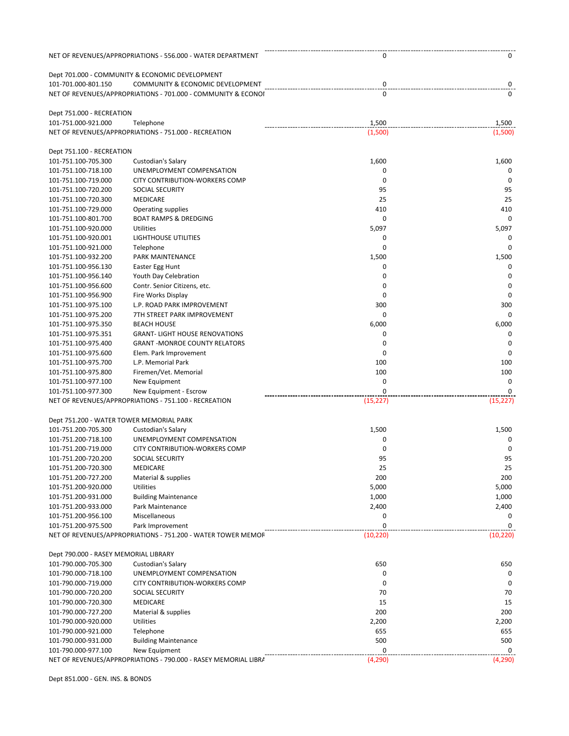|                                          | NET OF REVENUES/APPROPRIATIONS - 556.000 - WATER DEPARTMENT     | 0           | 0           |
|------------------------------------------|-----------------------------------------------------------------|-------------|-------------|
|                                          | Dept 701.000 - COMMUNITY & ECONOMIC DEVELOPMENT                 |             |             |
| 101-701.000-801.150                      | COMMUNITY & ECONOMIC DEVELOPMENT                                | 0           | 0           |
|                                          | NET OF REVENUES/APPROPRIATIONS - 701.000 - COMMUNITY & ECONOI   | 0           | 0           |
| Dept 751.000 - RECREATION                |                                                                 |             |             |
| 101-751.000-921.000                      | Telephone                                                       | 1,500       | 1,500       |
|                                          | NET OF REVENUES/APPROPRIATIONS - 751.000 - RECREATION           | (1,500)     | (1,500)     |
| Dept 751.100 - RECREATION                |                                                                 |             |             |
| 101-751.100-705.300                      | Custodian's Salary                                              | 1,600       | 1,600       |
| 101-751.100-718.100                      | UNEMPLOYMENT COMPENSATION                                       | 0           | 0           |
| 101-751.100-719.000                      | CITY CONTRIBUTION-WORKERS COMP                                  | 0           | 0           |
| 101-751.100-720.200                      | <b>SOCIAL SECURITY</b>                                          | 95          | 95          |
| 101-751.100-720.300                      | <b>MEDICARE</b>                                                 | 25          | 25          |
| 101-751.100-729.000                      | Operating supplies                                              | 410         | 410         |
| 101-751.100-801.700                      | <b>BOAT RAMPS &amp; DREDGING</b>                                | 0           | 0           |
| 101-751.100-920.000                      | Utilities                                                       | 5,097       | 5,097       |
| 101-751.100-920.001                      | <b>LIGHTHOUSE UTILITIES</b>                                     | 0           | 0           |
| 101-751.100-921.000                      | Telephone                                                       | 0           | 0           |
| 101-751.100-932.200                      | PARK MAINTENANCE                                                | 1,500       | 1,500       |
| 101-751.100-956.130                      | Easter Egg Hunt                                                 | 0           | 0           |
| 101-751.100-956.140                      | Youth Day Celebration                                           | 0           | 0           |
| 101-751.100-956.600                      | Contr. Senior Citizens, etc.                                    | $\mathbf 0$ | $\mathbf 0$ |
| 101-751.100-956.900                      | Fire Works Display                                              | $\mathbf 0$ | $\mathbf 0$ |
| 101-751.100-975.100                      | L.P. ROAD PARK IMPROVEMENT                                      | 300         | 300         |
| 101-751.100-975.200                      | 7TH STREET PARK IMPROVEMENT                                     | 0           | $\mathbf 0$ |
| 101-751.100-975.350                      | <b>BEACH HOUSE</b>                                              | 6,000       | 6,000       |
| 101-751.100-975.351                      | <b>GRANT-LIGHT HOUSE RENOVATIONS</b>                            | 0           | 0           |
| 101-751.100-975.400                      | <b>GRANT-MONROE COUNTY RELATORS</b>                             | 0           | $\mathbf 0$ |
| 101-751.100-975.600                      | Elem. Park Improvement                                          | 0           | 0           |
| 101-751.100-975.700                      | L.P. Memorial Park                                              | 100         | 100         |
| 101-751.100-975.800                      |                                                                 | 100         | 100         |
|                                          | Firemen/Vet. Memorial                                           | 0           | 0           |
| 101-751.100-977.100                      | New Equipment                                                   |             |             |
| 101-751.100-977.300                      | New Equipment - Escrow                                          | $\mathbf 0$ | $\mathbf 0$ |
|                                          | NET OF REVENUES/APPROPRIATIONS - 751.100 - RECREATION           | (15, 227)   | (15, 227)   |
| Dept 751.200 - WATER TOWER MEMORIAL PARK |                                                                 |             |             |
| 101-751.200-705.300                      | Custodian's Salary                                              | 1,500       | 1,500       |
| 101-751.200-718.100                      | UNEMPLOYMENT COMPENSATION                                       | 0           | 0           |
| 101-751.200-719.000                      | <b>CITY CONTRIBUTION-WORKERS COMP</b>                           | 0           | 0           |
| 101-751.200-720.200                      | <b>SOCIAL SECURITY</b>                                          | 95          | 95          |
| 101-751.200-720.300                      | <b>MEDICARE</b>                                                 | 25          | 25          |
| 101-751.200-727.200                      | Material & supplies                                             | 200         | 200         |
| 101-751.200-920.000                      | <b>Utilities</b>                                                | 5,000       | 5,000       |
| 101-751.200-931.000                      | <b>Building Maintenance</b>                                     | 1,000       | 1,000       |
| 101-751.200-933.000                      | Park Maintenance                                                | 2,400       | 2,400       |
| 101-751.200-956.100                      | Miscellaneous                                                   | 0           | 0           |
| 101-751.200-975.500                      | Park Improvement                                                | $\mathbf 0$ | $\mathbf 0$ |
|                                          | NET OF REVENUES/APPROPRIATIONS - 751.200 - WATER TOWER MEMOF    | (10, 220)   | (10, 220)   |
| Dept 790.000 - RASEY MEMORIAL LIBRARY    |                                                                 |             |             |
| 101-790.000-705.300                      | Custodian's Salary                                              | 650         | 650         |
| 101-790.000-718.100                      | UNEMPLOYMENT COMPENSATION                                       | 0           | $\Omega$    |
| 101-790.000-719.000                      | CITY CONTRIBUTION-WORKERS COMP                                  | 0           | 0           |
|                                          |                                                                 |             |             |
| 101-790.000-720.200                      | <b>SOCIAL SECURITY</b>                                          | 70          | 70          |
| 101-790.000-720.300                      | <b>MEDICARE</b>                                                 | 15          | 15          |
| 101-790.000-727.200                      | Material & supplies                                             | 200         | 200         |
| 101-790.000-920.000                      | Utilities                                                       | 2,200       | 2,200       |
| 101-790.000-921.000                      | Telephone                                                       | 655         | 655         |
| 101-790.000-931.000                      | <b>Building Maintenance</b>                                     | 500         | 500         |
| 101-790.000-977.100                      | New Equipment                                                   | 0           | 0           |
|                                          | NET OF REVENUES/APPROPRIATIONS - 790.000 - RASEY MEMORIAL LIBRA | (4, 290)    | (4, 290)    |

Dept 851.000 - GEN. INS. & BONDS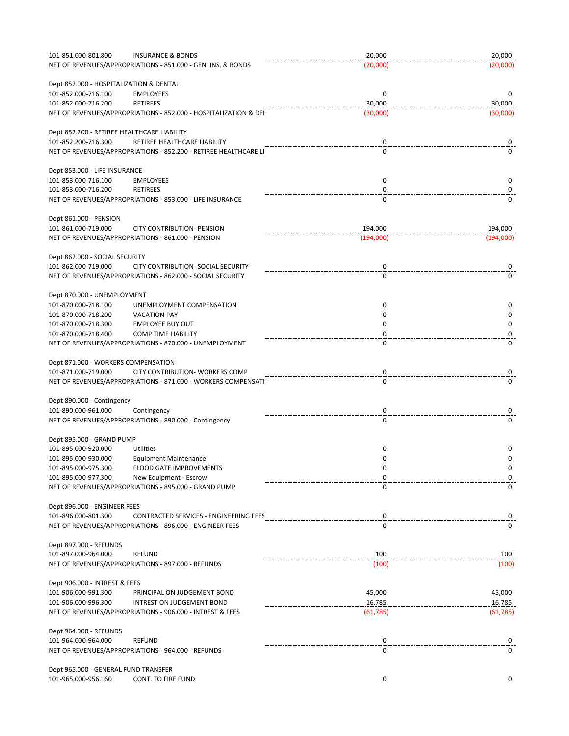| 101-851.000-801.800                         | <b>INSURANCE &amp; BONDS</b>                                     | 20,000      | 20,000    |
|---------------------------------------------|------------------------------------------------------------------|-------------|-----------|
|                                             | NET OF REVENUES/APPROPRIATIONS - 851.000 - GEN. INS. & BONDS     | (20,000)    | (20,000)  |
|                                             |                                                                  |             |           |
|                                             |                                                                  |             |           |
| Dept 852.000 - HOSPITALIZATION & DENTAL     |                                                                  |             |           |
| 101-852.000-716.100                         | <b>EMPLOYEES</b>                                                 | $\mathbf 0$ | 0         |
| 101-852.000-716.200                         | <b>RETIREES</b>                                                  | 30,000      | 30,000    |
|                                             | NET OF REVENUES/APPROPRIATIONS - 852.000 - HOSPITALIZATION & DEI | (30,000)    | (30,000)  |
|                                             |                                                                  |             |           |
| Dept 852.200 - RETIREE HEALTHCARE LIABILITY |                                                                  |             |           |
| 101-852.200-716.300                         | RETIREE HEALTHCARE LIABILITY                                     | 0           | 0         |
|                                             | NET OF REVENUES/APPROPRIATIONS - 852.200 - RETIREE HEALTHCARE LI | 0           | 0         |
|                                             |                                                                  |             |           |
| Dept 853.000 - LIFE INSURANCE               |                                                                  |             |           |
| 101-853.000-716.100                         | <b>EMPLOYEES</b>                                                 | 0           | 0         |
| 101-853.000-716.200                         | <b>RETIREES</b>                                                  | 0           | 0         |
|                                             |                                                                  | 0           | 0         |
|                                             | NET OF REVENUES/APPROPRIATIONS - 853.000 - LIFE INSURANCE        |             |           |
|                                             |                                                                  |             |           |
| Dept 861.000 - PENSION                      |                                                                  |             |           |
| 101-861.000-719.000                         | <b>CITY CONTRIBUTION- PENSION</b>                                | 194,000     | 194,000   |
|                                             | NET OF REVENUES/APPROPRIATIONS - 861.000 - PENSION               | (194,000)   | (194,000) |
|                                             |                                                                  |             |           |
| Dept 862.000 - SOCIAL SECURITY              |                                                                  |             |           |
| 101-862.000-719.000                         | CITY CONTRIBUTION- SOCIAL SECURITY                               | 0           | 0         |
|                                             | NET OF REVENUES/APPROPRIATIONS - 862.000 - SOCIAL SECURITY       | 0           | 0         |
|                                             |                                                                  |             |           |
|                                             |                                                                  |             |           |
| Dept 870.000 - UNEMPLOYMENT                 |                                                                  |             |           |
| 101-870.000-718.100                         | UNEMPLOYMENT COMPENSATION                                        | 0           | 0         |
| 101-870.000-718.200                         | <b>VACATION PAY</b>                                              | 0           | 0         |
| 101-870.000-718.300                         | <b>EMPLOYEE BUY OUT</b>                                          | 0           | 0         |
| 101-870.000-718.400                         | <b>COMP TIME LIABILITY</b>                                       | 0           | 0         |
|                                             | NET OF REVENUES/APPROPRIATIONS - 870.000 - UNEMPLOYMENT          | 0           | 0         |
|                                             |                                                                  |             |           |
|                                             |                                                                  |             |           |
| Dept 871.000 - WORKERS COMPENSATION         |                                                                  |             |           |
| 101-871.000-719.000                         | CITY CONTRIBUTION- WORKERS COMP                                  | 0           | 0         |
|                                             | NET OF REVENUES/APPROPRIATIONS - 871.000 - WORKERS COMPENSATI    | 0           | 0         |
|                                             |                                                                  |             |           |
| Dept 890.000 - Contingency                  |                                                                  |             |           |
| 101-890.000-961.000                         | Contingency                                                      | 0           | 0         |
|                                             | NET OF REVENUES/APPROPRIATIONS - 890.000 - Contingency           | 0           | 0         |
|                                             |                                                                  |             |           |
| Dept 895.000 - GRAND PUMP                   |                                                                  |             |           |
|                                             |                                                                  |             |           |
| 101-895.000-920.000                         | Utilities                                                        | 0           | 0         |
| 101-895.000-930.000                         | <b>Equipment Maintenance</b>                                     | 0           | 0         |
| 101-895.000-975.300                         | FLOOD GATE IMPROVEMENTS                                          | 0           | 0         |
| 101-895.000-977.300                         | New Equipment - Escrow                                           | 0           | 0         |
|                                             | NET OF REVENUES/APPROPRIATIONS - 895.000 - GRAND PUMP            | 0           | 0         |
|                                             |                                                                  |             |           |
| Dept 896.000 - ENGINEER FEES                |                                                                  |             |           |
| 101-896.000-801.300                         | CONTRACTED SERVICES - ENGINEERING FEES                           | 0           | 0         |
|                                             | NET OF REVENUES/APPROPRIATIONS - 896.000 - ENGINEER FEES         | 0           | 0         |
|                                             |                                                                  |             |           |
|                                             |                                                                  |             |           |
| Dept 897.000 - REFUNDS                      |                                                                  |             |           |
| 101-897.000-964.000                         | <b>REFUND</b>                                                    | 100         | 100       |
|                                             | NET OF REVENUES/APPROPRIATIONS - 897.000 - REFUNDS               | (100)       | (100)     |
|                                             |                                                                  |             |           |
| Dept 906.000 - INTREST & FEES               |                                                                  |             |           |
| 101-906.000-991.300                         | PRINCIPAL ON JUDGEMENT BOND                                      | 45,000      | 45,000    |
| 101-906.000-996.300                         | INTREST ON JUDGEMENT BOND                                        | 16,785      | 16,785    |
|                                             | NET OF REVENUES/APPROPRIATIONS - 906.000 - INTREST & FEES        | (61, 785)   | (61, 785) |
|                                             |                                                                  |             |           |
|                                             |                                                                  |             |           |
| Dept 964.000 - REFUNDS                      |                                                                  |             |           |
| 101-964.000-964.000                         | <b>REFUND</b>                                                    | 0           | 0         |
|                                             | NET OF REVENUES/APPROPRIATIONS - 964.000 - REFUNDS               | 0           | $\Omega$  |
|                                             |                                                                  |             |           |
| Dept 965.000 - GENERAL FUND TRANSFER        |                                                                  |             |           |
| 101-965.000-956.160                         | CONT. TO FIRE FUND                                               | 0           | 0         |
|                                             |                                                                  |             |           |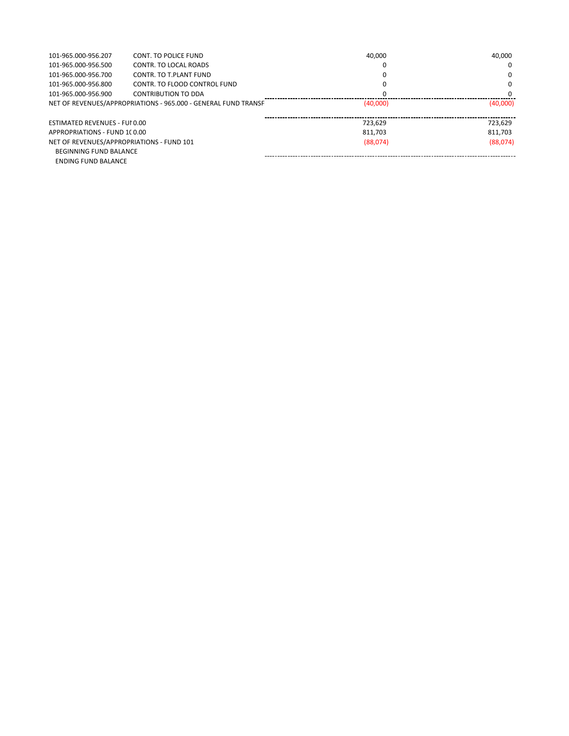| 101-965.000-956.207                                            | CONT. TO POLICE FUND         | 40,000   | 40.000   |
|----------------------------------------------------------------|------------------------------|----------|----------|
| 101-965.000-956.500                                            | CONTR. TO LOCAL ROADS        |          | 0        |
| 101-965.000-956.700                                            | CONTR. TO T.PLANT FUND       |          | 0        |
| 101-965.000-956.800                                            | CONTR. TO FLOOD CONTROL FUND |          | 0        |
| 101-965.000-956.900                                            | CONTRIBUTION TO DDA          |          | 0        |
| NET OF REVENUES/APPROPRIATIONS - 965.000 - GENERAL FUND TRANSF |                              | (40,000) | (40,000) |
|                                                                |                              |          |          |
| ESTIMATED REVENUES - FUI 0.00                                  |                              | 723.629  | 723.629  |
| APPROPRIATIONS - FUND 1C0.00                                   |                              | 811,703  | 811.703  |
| NET OF REVENUES/APPROPRIATIONS - FUND 101                      |                              | (88,074) | (88,074) |
| <b>BEGINNING FUND BALANCE</b>                                  |                              |          |          |
| <b>ENDING FUND BALANCE</b>                                     |                              |          |          |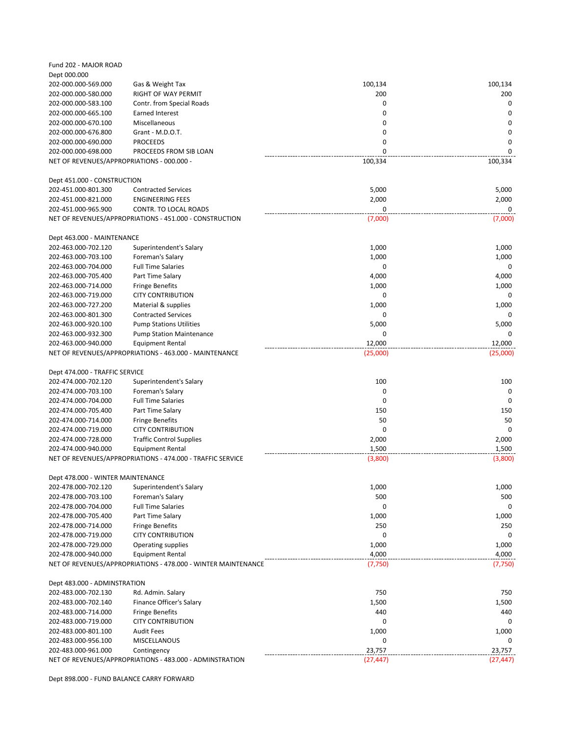| Fund 202 - MAJOR ROAD                      |                                                                                       |           |           |
|--------------------------------------------|---------------------------------------------------------------------------------------|-----------|-----------|
| Dept 000.000                               |                                                                                       |           |           |
| 202-000.000-569.000                        | Gas & Weight Tax                                                                      | 100,134   | 100,134   |
| 202-000.000-580.000                        | RIGHT OF WAY PERMIT                                                                   | 200       | 200       |
| 202-000.000-583.100                        | Contr. from Special Roads                                                             | 0         | 0         |
| 202-000.000-665.100                        | <b>Earned Interest</b>                                                                | 0         | 0         |
| 202-000.000-670.100                        | Miscellaneous                                                                         | 0         | 0         |
| 202-000.000-676.800                        | Grant - M.D.O.T.                                                                      | 0         | $\Omega$  |
| 202-000.000-690.000                        | <b>PROCEEDS</b>                                                                       | 0         | 0         |
| 202-000.000-698.000                        | PROCEEDS FROM SIB LOAN                                                                | $\Omega$  | 0         |
| NET OF REVENUES/APPROPRIATIONS - 000.000 - |                                                                                       | 100,334   | 100,334   |
| Dept 451.000 - CONSTRUCTION                |                                                                                       |           |           |
| 202-451.000-801.300                        | <b>Contracted Services</b>                                                            | 5,000     | 5,000     |
| 202-451.000-821.000                        | <b>ENGINEERING FEES</b>                                                               | 2,000     | 2,000     |
| 202-451.000-965.900                        | CONTR. TO LOCAL ROADS                                                                 | 0         | 0         |
|                                            | NET OF REVENUES/APPROPRIATIONS - 451.000 - CONSTRUCTION                               | (7,000)   | (7,000)   |
|                                            |                                                                                       |           |           |
| Dept 463.000 - MAINTENANCE                 |                                                                                       |           |           |
| 202-463.000-702.120                        | Superintendent's Salary                                                               | 1,000     | 1,000     |
| 202-463.000-703.100                        | Foreman's Salary                                                                      | 1,000     | 1,000     |
| 202-463.000-704.000                        | <b>Full Time Salaries</b>                                                             | 0         | 0         |
| 202-463.000-705.400                        | Part Time Salary                                                                      | 4,000     | 4,000     |
| 202-463.000-714.000                        | <b>Fringe Benefits</b>                                                                | 1,000     | 1,000     |
| 202-463.000-719.000                        | <b>CITY CONTRIBUTION</b>                                                              | 0         | 0         |
| 202-463.000-727.200                        | Material & supplies                                                                   | 1,000     | 1,000     |
| 202-463.000-801.300                        | <b>Contracted Services</b>                                                            | 0         | 0         |
| 202-463.000-920.100                        | <b>Pump Stations Utilities</b>                                                        | 5,000     | 5,000     |
| 202-463.000-932.300                        | <b>Pump Station Maintenance</b>                                                       | 0         | 0         |
| 202-463.000-940.000                        | Equipment Rental                                                                      | 12,000    | 12,000    |
|                                            | NET OF REVENUES/APPROPRIATIONS - 463.000 - MAINTENANCE                                | (25,000)  | (25,000)  |
|                                            |                                                                                       |           |           |
| Dept 474.000 - TRAFFIC SERVICE             |                                                                                       |           |           |
| 202-474.000-702.120                        | Superintendent's Salary                                                               | 100       | 100       |
| 202-474.000-703.100                        | Foreman's Salary                                                                      | 0         | 0         |
| 202-474.000-704.000                        | <b>Full Time Salaries</b>                                                             | 0         | $\Omega$  |
| 202-474.000-705.400                        | Part Time Salary                                                                      | 150       | 150       |
| 202-474.000-714.000                        | <b>Fringe Benefits</b>                                                                | 50        | 50        |
| 202-474.000-719.000                        | <b>CITY CONTRIBUTION</b>                                                              | 0         | 0         |
| 202-474.000-728.000                        | <b>Traffic Control Supplies</b>                                                       | 2,000     | 2,000     |
| 202-474.000-940.000                        |                                                                                       |           |           |
|                                            | <b>Equipment Rental</b><br>NET OF REVENUES/APPROPRIATIONS - 474.000 - TRAFFIC SERVICE | 1,500     | 1,500     |
|                                            |                                                                                       | (3,800)   | (3,800)   |
| Dept 478.000 - WINTER MAINTENANCE          |                                                                                       |           |           |
| 202-478.000-702.120                        | Superintendent's Salary                                                               | 1,000     | 1,000     |
| 202-478.000-703.100                        | Foreman's Salary                                                                      | 500       | 500       |
| 202-478.000-704.000                        | <b>Full Time Salaries</b>                                                             | 0         | 0         |
| 202-478.000-705.400                        | Part Time Salary                                                                      | 1,000     | 1,000     |
| 202-478.000-714.000                        | <b>Fringe Benefits</b>                                                                | 250       | 250       |
| 202-478.000-719.000                        | <b>CITY CONTRIBUTION</b>                                                              | 0         | 0         |
| 202-478.000-729.000                        | Operating supplies                                                                    | 1,000     | 1,000     |
| 202-478.000-940.000                        | <b>Equipment Rental</b>                                                               | 4,000     | 4,000     |
|                                            | NET OF REVENUES/APPROPRIATIONS - 478.000 - WINTER MAINTENANCE                         | (7, 750)  | (7, 750)  |
|                                            |                                                                                       |           |           |
| Dept 483.000 - ADMINSTRATION               |                                                                                       |           |           |
| 202-483.000-702.130                        | Rd. Admin. Salary                                                                     | 750       | 750       |
| 202-483.000-702.140                        | Finance Officer's Salary                                                              | 1,500     | 1,500     |
| 202-483.000-714.000                        | <b>Fringe Benefits</b>                                                                | 440       | 440       |
| 202-483.000-719.000                        | <b>CITY CONTRIBUTION</b>                                                              | 0         | 0         |
| 202-483.000-801.100                        | <b>Audit Fees</b>                                                                     | 1,000     | 1,000     |
| 202-483.000-956.100                        | MISCELLANOUS                                                                          | 0         | 0         |
| 202-483.000-961.000                        | Contingency                                                                           | 23,757    | 23,757    |
|                                            | NET OF REVENUES/APPROPRIATIONS - 483.000 - ADMINSTRATION                              | (27, 447) | (27, 447) |

Dept 898.000 - FUND BALANCE CARRY FORWARD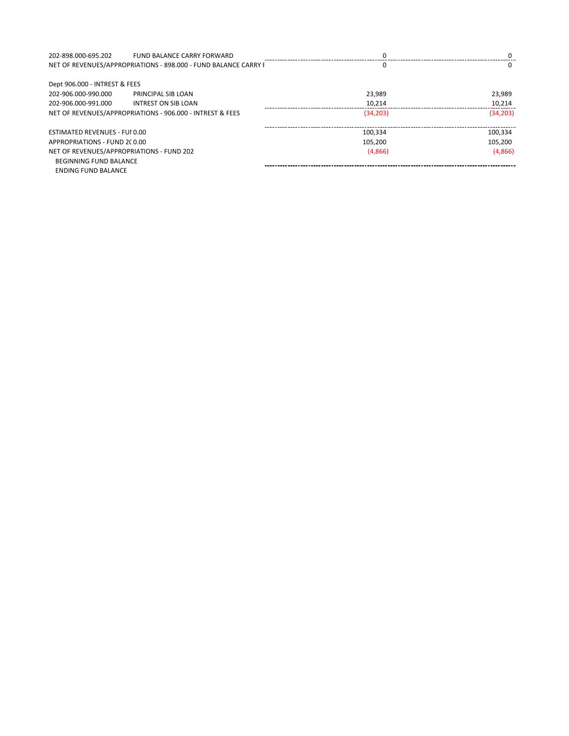| 202-898.000-695.202                                       | <b>FUND BALANCE CARRY FORWARD</b>                               |           | 0         |
|-----------------------------------------------------------|-----------------------------------------------------------------|-----------|-----------|
|                                                           | NET OF REVENUES/APPROPRIATIONS - 898.000 - FUND BALANCE CARRY F |           | 0         |
| Dept 906.000 - INTREST & FEES                             |                                                                 |           |           |
| 202-906.000-990.000                                       | PRINCIPAL SIB LOAN                                              | 23.989    | 23,989    |
| 202-906.000-991.000                                       | INTREST ON SIB LOAN                                             | 10,214    | 10,214    |
| NET OF REVENUES/APPROPRIATIONS - 906.000 - INTREST & FEES |                                                                 | (34, 203) | (34, 203) |
| ESTIMATED REVENUES - FUI 0.00                             |                                                                 | 100.334   | 100.334   |
| APPROPRIATIONS - FUND 2C0.00                              |                                                                 | 105.200   | 105.200   |
|                                                           | NET OF REVENUES/APPROPRIATIONS - FUND 202                       | (4,866)   | (4,866)   |
| <b>BEGINNING FUND BALANCE</b>                             |                                                                 |           |           |
| <b>ENDING FUND BALANCE</b>                                |                                                                 |           |           |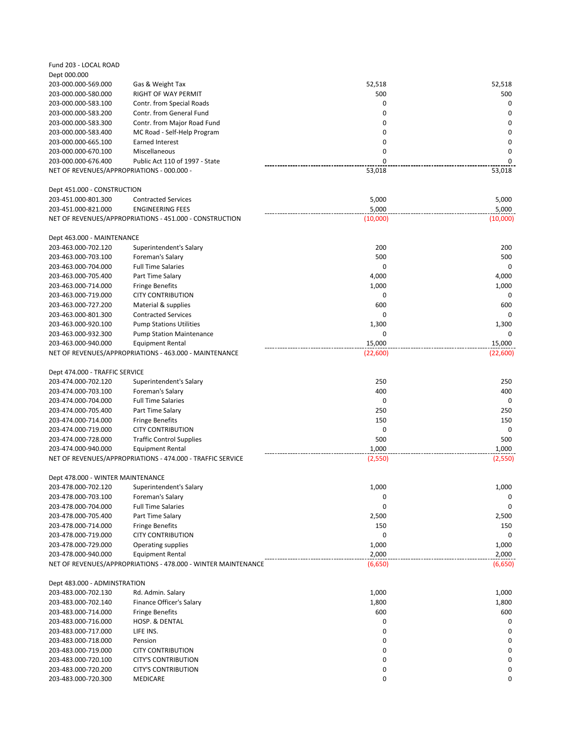| Fund 203 - LOCAL ROAD                      |                                                               |             |             |
|--------------------------------------------|---------------------------------------------------------------|-------------|-------------|
| Dept 000.000                               |                                                               |             |             |
| 203-000.000-569.000                        | Gas & Weight Tax                                              | 52,518      | 52,518      |
| 203-000.000-580.000                        | RIGHT OF WAY PERMIT                                           | 500         | 500         |
| 203-000.000-583.100                        | Contr. from Special Roads                                     | 0           | $\mathbf 0$ |
| 203-000.000-583.200                        | Contr. from General Fund                                      | 0           | 0           |
| 203-000.000-583.300                        | Contr. from Major Road Fund                                   | 0           | 0           |
| 203-000.000-583.400                        | MC Road - Self-Help Program                                   | 0           | 0           |
| 203-000.000-665.100                        | <b>Earned Interest</b>                                        | 0           | $\mathbf 0$ |
| 203-000.000-670.100                        | Miscellaneous                                                 | 0           | 0           |
| 203-000.000-676.400                        | Public Act 110 of 1997 - State                                | $\Omega$    | $\Omega$    |
| NET OF REVENUES/APPROPRIATIONS - 000.000 - |                                                               | 53,018      | 53,018      |
|                                            |                                                               |             |             |
| Dept 451.000 - CONSTRUCTION                |                                                               |             |             |
| 203-451.000-801.300                        | <b>Contracted Services</b>                                    | 5,000       | 5,000       |
| 203-451.000-821.000                        | <b>ENGINEERING FEES</b>                                       | 5,000       | 5,000       |
|                                            | NET OF REVENUES/APPROPRIATIONS - 451.000 - CONSTRUCTION       | (10,000)    | (10,000)    |
|                                            |                                                               |             |             |
| Dept 463.000 - MAINTENANCE                 |                                                               |             |             |
| 203-463.000-702.120                        | Superintendent's Salary                                       | 200         | 200         |
| 203-463.000-703.100                        | Foreman's Salary                                              | 500         | 500         |
| 203-463.000-704.000                        | <b>Full Time Salaries</b>                                     | $\mathbf 0$ | $\mathbf 0$ |
| 203-463.000-705.400                        | Part Time Salary                                              | 4,000       | 4,000       |
| 203-463.000-714.000                        | <b>Fringe Benefits</b>                                        | 1,000       | 1,000       |
| 203-463.000-719.000                        | <b>CITY CONTRIBUTION</b>                                      | 0           | 0           |
| 203-463.000-727.200                        | Material & supplies                                           | 600         | 600         |
| 203-463.000-801.300                        | <b>Contracted Services</b>                                    | $\mathbf 0$ | $\Omega$    |
| 203-463.000-920.100                        | <b>Pump Stations Utilities</b>                                | 1,300       | 1,300       |
| 203-463.000-932.300                        | <b>Pump Station Maintenance</b>                               | 0           | $\Omega$    |
| 203-463.000-940.000                        | Equipment Rental                                              | 15,000      | 15,000      |
|                                            | NET OF REVENUES/APPROPRIATIONS - 463.000 - MAINTENANCE        | (22,600)    | (22,600)    |
| Dept 474.000 - TRAFFIC SERVICE             |                                                               |             |             |
| 203-474.000-702.120                        | Superintendent's Salary                                       | 250         | 250         |
| 203-474.000-703.100                        | Foreman's Salary                                              | 400         | 400         |
| 203-474.000-704.000                        | <b>Full Time Salaries</b>                                     | 0           | 0           |
| 203-474.000-705.400                        | Part Time Salary                                              | 250         | 250         |
| 203-474.000-714.000                        | <b>Fringe Benefits</b>                                        | 150         | 150         |
| 203-474.000-719.000                        | <b>CITY CONTRIBUTION</b>                                      | 0           | 0           |
| 203-474.000-728.000                        | <b>Traffic Control Supplies</b>                               | 500         | 500         |
| 203-474.000-940.000                        | <b>Equipment Rental</b>                                       | 1,000       | 1,000       |
|                                            | NET OF REVENUES/APPROPRIATIONS - 474.000 - TRAFFIC SERVICE    | (2,550)     | (2,550)     |
|                                            |                                                               |             |             |
| Dept 478.000 - WINTER MAINTENANCE          |                                                               |             |             |
| 203-478.000-702.120                        | Superintendent's Salary                                       | 1,000       | 1,000       |
| 203-478.000-703.100                        | Foreman's Salary                                              | 0           | 0           |
| 203-478.000-704.000                        | <b>Full Time Salaries</b>                                     | 0           | 0           |
| 203-478.000-705.400                        | Part Time Salary                                              | 2,500       | 2,500       |
| 203-478.000-714.000                        | <b>Fringe Benefits</b>                                        | 150         | 150         |
| 203-478.000-719.000                        | <b>CITY CONTRIBUTION</b>                                      | 0           | 0           |
| 203-478.000-729.000                        | Operating supplies                                            | 1,000       | 1,000       |
| 203-478.000-940.000                        | <b>Equipment Rental</b>                                       | 2,000       | 2,000       |
|                                            | NET OF REVENUES/APPROPRIATIONS - 478.000 - WINTER MAINTENANCE | (6,650)     | (6,650)     |
|                                            |                                                               |             |             |
| Dept 483.000 - ADMINSTRATION               |                                                               |             |             |
| 203-483.000-702.130                        | Rd. Admin. Salary                                             | 1,000       | 1,000       |
| 203-483.000-702.140                        | Finance Officer's Salary                                      | 1,800       | 1,800       |
| 203-483.000-714.000                        | <b>Fringe Benefits</b>                                        | 600         | 600         |
| 203-483.000-716.000                        | HOSP. & DENTAL                                                | 0           | 0           |
| 203-483.000-717.000                        | LIFE INS.                                                     | 0           | 0           |
| 203-483.000-718.000                        | Pension                                                       | 0           | 0           |
| 203-483.000-719.000                        | <b>CITY CONTRIBUTION</b>                                      | 0           | 0           |
| 203-483.000-720.100                        | <b>CITY'S CONTRIBUTION</b>                                    | 0           | 0           |
| 203-483.000-720.200                        | <b>CITY'S CONTRIBUTION</b>                                    | 0           | 0           |
| 203-483.000-720.300                        | MEDICARE                                                      | 0           | 0           |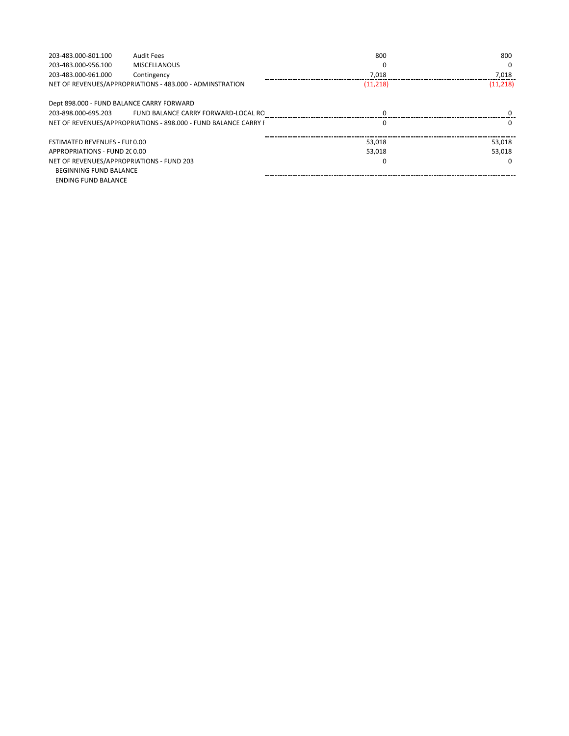| 203-483.000-801.100                                      | <b>Audit Fees</b>                                               | 800       | 800       |
|----------------------------------------------------------|-----------------------------------------------------------------|-----------|-----------|
| 203-483.000-956.100                                      | <b>MISCELLANOUS</b>                                             |           | $\Omega$  |
| 203-483.000-961.000                                      | Contingency                                                     | 7,018     | 7,018     |
| NET OF REVENUES/APPROPRIATIONS - 483.000 - ADMINSTRATION |                                                                 | (11, 218) | (11, 218) |
| Dept 898.000 - FUND BALANCE CARRY FORWARD                |                                                                 |           |           |
| 203-898.000-695.203                                      | FUND BALANCE CARRY FORWARD-LOCAL RO                             |           |           |
|                                                          | NET OF REVENUES/APPROPRIATIONS - 898.000 - FUND BALANCE CARRY F |           | $\Omega$  |
| ESTIMATED REVENUES - FUI 0.00                            |                                                                 | 53.018    | 53,018    |
| APPROPRIATIONS - FUND 2C0.00                             |                                                                 | 53.018    | 53.018    |
| NET OF REVENUES/APPROPRIATIONS - FUND 203                |                                                                 |           | n         |
| <b>BEGINNING FUND BALANCE</b>                            |                                                                 |           |           |
| ENDING FUND BALANCE                                      |                                                                 |           |           |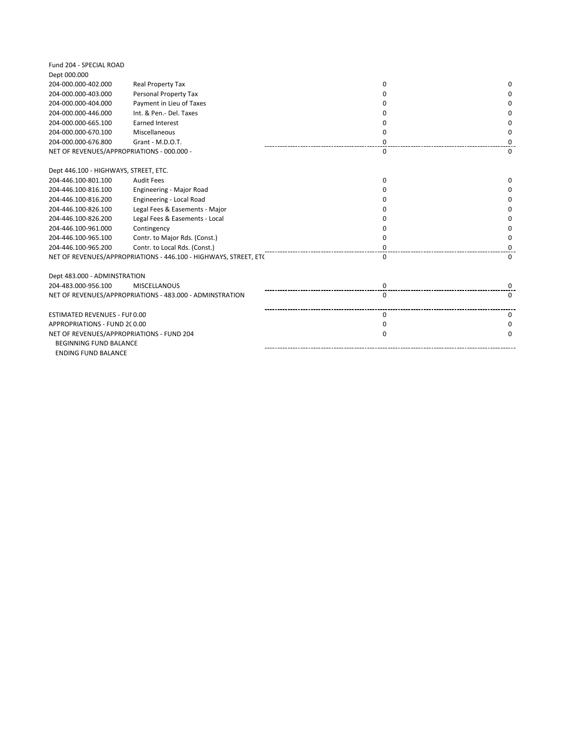| Fund 204 - SPECIAL ROAD                    |                                                                  |              |          |
|--------------------------------------------|------------------------------------------------------------------|--------------|----------|
| Dept 000.000                               |                                                                  |              |          |
| 204-000.000-402.000                        | Real Property Tax                                                | $\Omega$     | 0        |
| 204-000.000-403.000                        | Personal Property Tax                                            | 0            | 0        |
| 204-000.000-404.000                        | Payment in Lieu of Taxes                                         | <sup>0</sup> | $\Omega$ |
| 204-000.000-446.000                        | Int. & Pen.- Del. Taxes                                          | 0            | 0        |
| 204-000.000-665.100                        | <b>Earned Interest</b>                                           | <sup>0</sup> | $\Omega$ |
| 204-000.000-670.100                        | Miscellaneous                                                    | $\Omega$     | $\Omega$ |
| 204-000.000-676.800                        | Grant - M.D.O.T.                                                 | 0            | 0        |
| NET OF REVENUES/APPROPRIATIONS - 000.000 - |                                                                  | $\Omega$     | $\Omega$ |
| Dept 446.100 - HIGHWAYS, STREET, ETC.      |                                                                  |              |          |
| 204-446.100-801.100                        | <b>Audit Fees</b>                                                | $\Omega$     | 0        |
| 204-446.100-816.100                        | Engineering - Major Road                                         | 0            | 0        |
| 204-446.100-816.200                        | Engineering - Local Road                                         | <sup>0</sup> | $\Omega$ |
| 204-446.100-826.100                        | Legal Fees & Easements - Major                                   | O            | 0        |
| 204-446.100-826.200                        | Legal Fees & Easements - Local                                   | <sup>0</sup> | 0        |
| 204-446.100-961.000                        | Contingency                                                      | <sup>0</sup> | $\Omega$ |
| 204-446.100-965.100                        | Contr. to Major Rds. (Const.)                                    | 0            | 0        |
| 204-446.100-965.200                        | Contr. to Local Rds. (Const.)                                    | 0            | 0        |
|                                            | NET OF REVENUES/APPROPRIATIONS - 446.100 - HIGHWAYS, STREET, ETC | $\Omega$     | $\Omega$ |
| Dept 483.000 - ADMINSTRATION               |                                                                  |              |          |
| 204-483.000-956.100                        | <b>MISCELLANOUS</b>                                              | 0            | 0        |
|                                            | NET OF REVENUES/APPROPRIATIONS - 483.000 - ADMINSTRATION         | $\Omega$     | 0        |
| <b>ESTIMATED REVENUES - FUI 0.00</b>       |                                                                  | $\Omega$     | $\Omega$ |
| APPROPRIATIONS - FUND 2C0.00               |                                                                  | $\Omega$     | $\Omega$ |
| NET OF REVENUES/APPROPRIATIONS - FUND 204  |                                                                  | 0            | 0        |
| <b>BEGINNING FUND BALANCE</b>              |                                                                  |              |          |
| <b>ENDING FUND BALANCE</b>                 |                                                                  |              |          |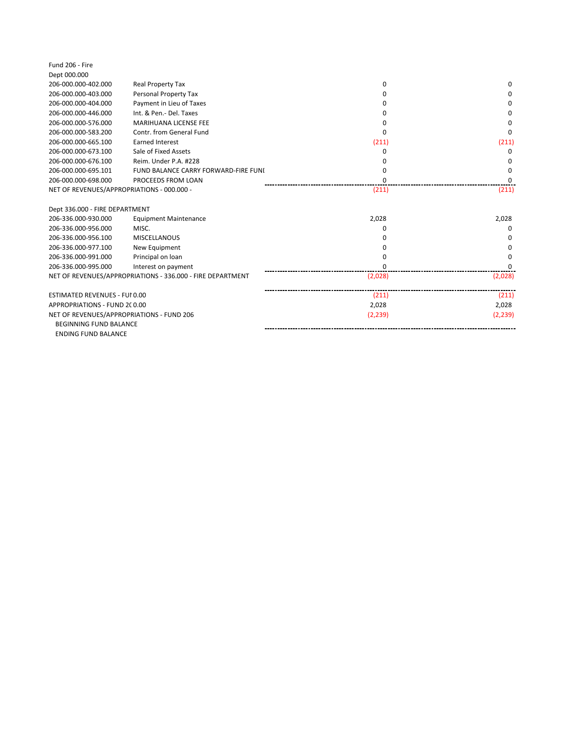| Fund 206 - Fire                            |                                                            |          |              |
|--------------------------------------------|------------------------------------------------------------|----------|--------------|
| Dept 000.000                               |                                                            |          |              |
| 206-000.000-402.000                        | Real Property Tax                                          | 0        | 0            |
| 206-000.000-403.000                        | Personal Property Tax                                      | 0        | 0            |
| 206-000.000-404.000                        | Payment in Lieu of Taxes                                   | O        | <sup>0</sup> |
| 206-000.000-446.000                        | Int. & Pen.- Del. Taxes                                    | 0        | $\Omega$     |
| 206-000.000-576.000                        | <b>MARIHUANA LICENSE FEE</b>                               | n        | <sup>0</sup> |
| 206-000.000-583.200                        | Contr. from General Fund                                   | ŋ        | O            |
| 206-000.000-665.100                        | <b>Earned Interest</b>                                     | (211)    | (211)        |
| 206-000.000-673.100                        | Sale of Fixed Assets                                       | O        | <sup>0</sup> |
| 206-000.000-676.100                        | Reim. Under P.A. #228                                      |          | 0            |
| 206-000.000-695.101                        | FUND BALANCE CARRY FORWARD-FIRE FUNI                       | O        | $\Omega$     |
| 206-000.000-698.000                        | PROCEEDS FROM LOAN                                         | 0        | O            |
| NET OF REVENUES/APPROPRIATIONS - 000.000 - |                                                            | (211)    | (211)        |
| Dept 336.000 - FIRE DEPARTMENT             |                                                            |          |              |
| 206-336.000-930.000                        | <b>Equipment Maintenance</b>                               | 2,028    | 2,028        |
| 206-336.000-956.000                        | MISC.                                                      | n        |              |
| 206-336.000-956.100                        | MISCELLANOUS                                               |          | <sup>0</sup> |
| 206-336.000-977.100                        | New Equipment                                              |          | <sup>0</sup> |
| 206-336.000-991.000                        | Principal on loan                                          | ŋ        | <sup>0</sup> |
| 206-336.000-995.000                        | Interest on payment                                        | $\Omega$ | ŋ            |
|                                            | NET OF REVENUES/APPROPRIATIONS - 336.000 - FIRE DEPARTMENT | (2,028)  | (2,028)      |
| <b>ESTIMATED REVENUES - FUI 0.00</b>       |                                                            | (211)    | (211)        |
| APPROPRIATIONS - FUND 2C0.00               |                                                            | 2,028    | 2,028        |
| NET OF REVENUES/APPROPRIATIONS - FUND 206  |                                                            | (2, 239) | (2, 239)     |
| <b>BEGINNING FUND BALANCE</b>              |                                                            |          |              |
| <b>ENDING FUND BALANCE</b>                 |                                                            |          |              |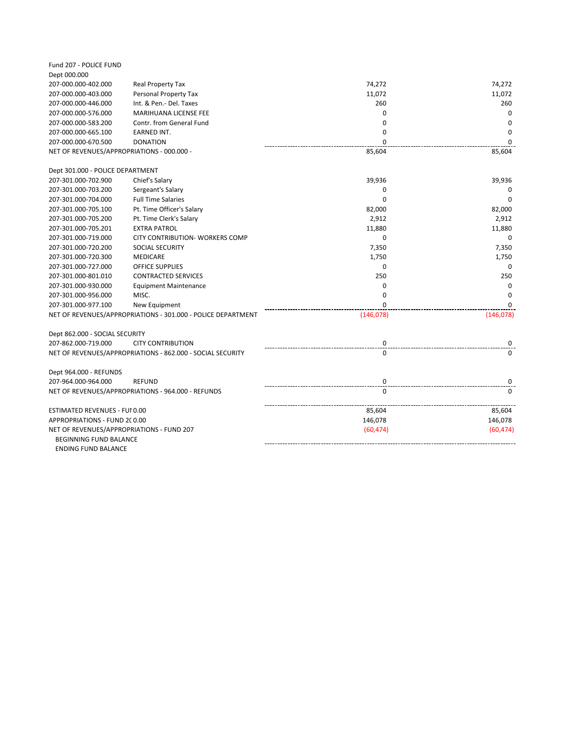| Fund 207 - POLICE FUND                                              |                                                              |             |           |
|---------------------------------------------------------------------|--------------------------------------------------------------|-------------|-----------|
| Dept 000.000                                                        |                                                              |             |           |
| 207-000.000-402.000                                                 | Real Property Tax                                            | 74,272      | 74,272    |
| 207-000.000-403.000                                                 | Personal Property Tax                                        | 11,072      | 11,072    |
| 207-000.000-446.000                                                 | Int. & Pen.- Del. Taxes                                      | 260         | 260       |
| 207-000.000-576.000                                                 | MARIHUANA LICENSE FEE                                        | 0           | 0         |
| 207-000.000-583.200                                                 | Contr. from General Fund                                     | $\mathbf 0$ | 0         |
| 207-000.000-665.100                                                 | <b>EARNED INT.</b>                                           | $\Omega$    | $\Omega$  |
| 207-000.000-670.500                                                 | <b>DONATION</b>                                              | $\Omega$    | $\Omega$  |
| NET OF REVENUES/APPROPRIATIONS - 000.000 -                          |                                                              | 85,604      | 85,604    |
| Dept 301.000 - POLICE DEPARTMENT                                    |                                                              |             |           |
| 207-301.000-702.900                                                 | Chief's Salary                                               | 39,936      | 39,936    |
| 207-301.000-703.200                                                 | Sergeant's Salary                                            | 0           | 0         |
| 207-301.000-704.000                                                 | <b>Full Time Salaries</b>                                    | $\Omega$    | $\Omega$  |
| 207-301.000-705.100                                                 | Pt. Time Officer's Salary                                    | 82,000      | 82,000    |
| 207-301.000-705.200                                                 | Pt. Time Clerk's Salary                                      | 2,912       | 2,912     |
| 207-301.000-705.201                                                 | <b>EXTRA PATROL</b>                                          | 11,880      | 11,880    |
| 207-301.000-719.000                                                 | CITY CONTRIBUTION- WORKERS COMP                              | $\mathbf 0$ | $\Omega$  |
| 207-301.000-720.200                                                 | <b>SOCIAL SECURITY</b>                                       | 7,350       | 7,350     |
| 207-301.000-720.300                                                 | MEDICARE                                                     | 1,750       | 1,750     |
| 207-301.000-727.000                                                 | <b>OFFICE SUPPLIES</b>                                       | 0           | $\Omega$  |
| 207-301.000-801.010                                                 | <b>CONTRACTED SERVICES</b>                                   | 250         | 250       |
| 207-301.000-930.000                                                 | <b>Equipment Maintenance</b>                                 | 0           | $\Omega$  |
| 207-301.000-956.000                                                 | MISC.                                                        | $\Omega$    | $\Omega$  |
| 207-301.000-977.100                                                 | New Equipment                                                | $\Omega$    | $\Omega$  |
|                                                                     | NET OF REVENUES/APPROPRIATIONS - 301.000 - POLICE DEPARTMENT | (146,078)   | (146,078) |
| Dept 862.000 - SOCIAL SECURITY                                      |                                                              |             |           |
| 207-862.000-719.000                                                 | <b>CITY CONTRIBUTION</b>                                     | 0           | 0         |
|                                                                     | NET OF REVENUES/APPROPRIATIONS - 862.000 - SOCIAL SECURITY   | 0           | $\Omega$  |
| Dept 964.000 - REFUNDS                                              |                                                              |             |           |
| 207-964.000-964.000                                                 | <b>REFUND</b>                                                | 0           | 0         |
|                                                                     | NET OF REVENUES/APPROPRIATIONS - 964.000 - REFUNDS           | $\Omega$    | $\Omega$  |
| <b>ESTIMATED REVENUES - FUI 0.00</b>                                |                                                              | 85,604      | 85,604    |
| APPROPRIATIONS - FUND 2C0.00                                        |                                                              | 146,078     | 146,078   |
| NET OF REVENUES/APPROPRIATIONS - FUND 207<br>BEGINNING FUND BALANCE |                                                              | (60, 474)   | (60, 474) |
| <b>ENDING FUND BALANCE</b>                                          |                                                              |             |           |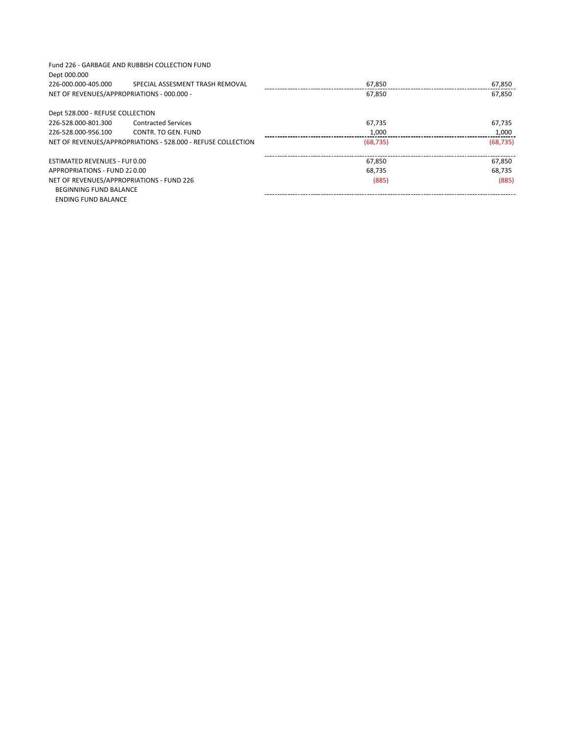| Dept 000.000                               | Fund 226 - GARBAGE AND RUBBISH COLLECTION FUND               |           |           |
|--------------------------------------------|--------------------------------------------------------------|-----------|-----------|
| 226-000.000-405.000                        | SPECIAL ASSESMENT TRASH REMOVAL                              | 67,850    | 67,850    |
| NET OF REVENUES/APPROPRIATIONS - 000.000 - |                                                              | 67.850    | 67.850    |
| Dept 528.000 - REFUSE COLLECTION           |                                                              |           |           |
| 226-528.000-801.300                        | <b>Contracted Services</b>                                   | 67.735    | 67.735    |
| 226-528.000-956.100                        | CONTR. TO GEN. FUND                                          | 1,000     | 1,000     |
|                                            | NET OF REVENUES/APPROPRIATIONS - 528.000 - REFUSE COLLECTION | (68, 735) | (68, 735) |
| ESTIMATED REVENUES - FUI 0.00              |                                                              | 67.850    | 67.850    |
| APPROPRIATIONS - FUND 220.00               |                                                              | 68.735    | 68.735    |
| NET OF REVENUES/APPROPRIATIONS - FUND 226  |                                                              | (885)     | (885)     |
| <b>BEGINNING FUND BALANCE</b>              |                                                              |           |           |
| ENDING FUND BALANCE                        |                                                              |           |           |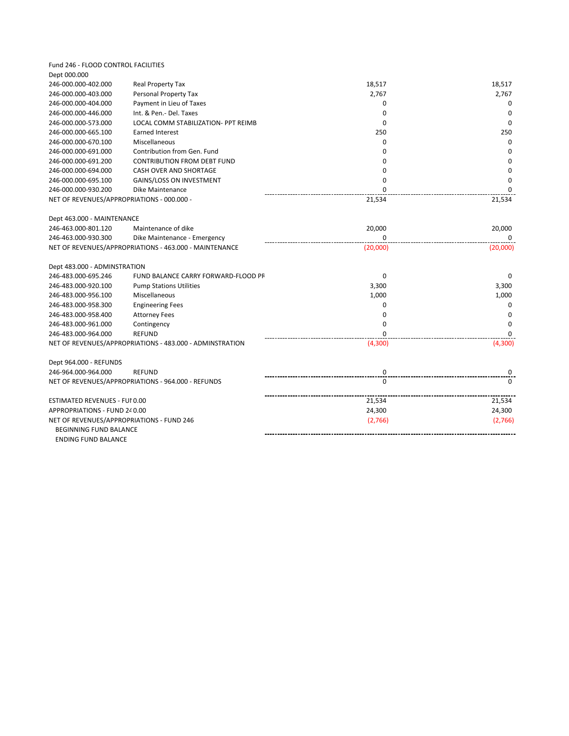| Fund 246 - FLOOD CONTROL FACILITIES        |                                                          |             |             |
|--------------------------------------------|----------------------------------------------------------|-------------|-------------|
| Dept 000.000                               |                                                          |             |             |
| 246-000.000-402.000                        | Real Property Tax                                        | 18,517      | 18,517      |
| 246-000.000-403.000                        | Personal Property Tax                                    | 2,767       | 2,767       |
| 246-000.000-404.000                        | Payment in Lieu of Taxes                                 | 0           | 0           |
| 246-000.000-446.000                        | Int. & Pen.- Del. Taxes                                  | $\Omega$    | $\Omega$    |
| 246-000.000-573.000                        | LOCAL COMM STABILIZATION- PPT REIMB                      | $\Omega$    | $\Omega$    |
| 246-000.000-665.100                        | <b>Earned Interest</b>                                   | 250         | 250         |
| 246-000.000-670.100                        | Miscellaneous                                            | $\mathbf 0$ | $\mathbf 0$ |
| 246-000.000-691.000                        | Contribution from Gen. Fund                              | 0           | 0           |
| 246-000.000-691.200                        | <b>CONTRIBUTION FROM DEBT FUND</b>                       | 0           | $\mathbf 0$ |
| 246-000.000-694.000                        | CASH OVER AND SHORTAGE                                   | $\mathbf 0$ | $\mathbf 0$ |
| 246-000.000-695.100                        | <b>GAINS/LOSS ON INVESTMENT</b>                          | $\mathbf 0$ | 0           |
| 246-000.000-930.200                        | Dike Maintenance                                         | $\Omega$    | $\Omega$    |
| NET OF REVENUES/APPROPRIATIONS - 000.000 - |                                                          | 21,534      | 21,534      |
| Dept 463.000 - MAINTENANCE                 |                                                          |             |             |
| 246-463.000-801.120                        | Maintenance of dike                                      | 20,000      | 20,000      |
| 246-463.000-930.300                        | Dike Maintenance - Emergency                             | $\Omega$    | $\Omega$    |
|                                            | NET OF REVENUES/APPROPRIATIONS - 463.000 - MAINTENANCE   | (20,000)    | (20,000)    |
| Dept 483.000 - ADMINSTRATION               |                                                          |             |             |
| 246-483.000-695.246                        | FUND BALANCE CARRY FORWARD-FLOOD PR                      | 0           | $\Omega$    |
| 246-483.000-920.100                        | <b>Pump Stations Utilities</b>                           | 3,300       | 3,300       |
| 246-483.000-956.100                        | Miscellaneous                                            | 1,000       | 1,000       |
| 246-483.000-958.300                        | <b>Engineering Fees</b>                                  | 0           | 0           |
| 246-483.000-958.400                        | <b>Attorney Fees</b>                                     | $\mathbf 0$ | $\mathbf 0$ |
| 246-483.000-961.000                        | Contingency                                              | $\mathbf 0$ | 0           |
| 246-483.000-964.000                        | <b>REFUND</b>                                            | $\Omega$    | $\Omega$    |
|                                            | NET OF REVENUES/APPROPRIATIONS - 483.000 - ADMINSTRATION | (4,300)     | (4,300)     |
| Dept 964.000 - REFUNDS                     |                                                          |             |             |
| 246-964.000-964.000                        | <b>REFUND</b>                                            | 0           | 0           |
|                                            | NET OF REVENUES/APPROPRIATIONS - 964.000 - REFUNDS       | $\Omega$    | $\Omega$    |
| ESTIMATED REVENUES - FUI 0.00              |                                                          | 21,534      | 21,534      |
| APPROPRIATIONS - FUND 240.00               |                                                          | 24,300      | 24,300      |
| NET OF REVENUES/APPROPRIATIONS - FUND 246  |                                                          | (2,766)     | (2,766)     |
| BEGINNING FUND BALANCE                     |                                                          |             |             |
| <b>ENDING FUND BALANCE</b>                 |                                                          |             |             |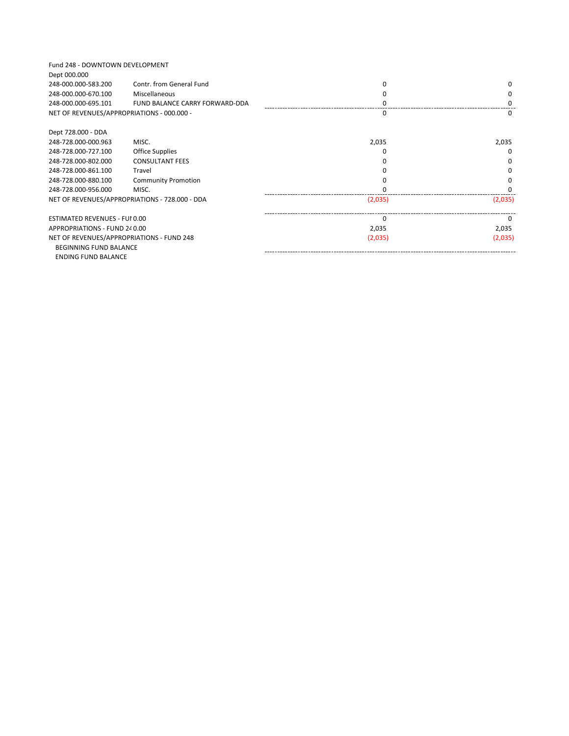| Fund 248 - DOWNTOWN DEVELOPMENT<br>Dept 000.000 |                                                |          |              |
|-------------------------------------------------|------------------------------------------------|----------|--------------|
| 248-000.000-583.200                             | Contr. from General Fund                       |          | <sup>0</sup> |
| 248-000.000-670.100                             | Miscellaneous                                  |          |              |
| 248-000.000-695.101                             | FUND BALANCE CARRY FORWARD-DDA                 |          |              |
| NET OF REVENUES/APPROPRIATIONS - 000.000 -      |                                                | n        | $\Omega$     |
| Dept 728.000 - DDA                              |                                                |          |              |
| 248-728.000-000.963                             | MISC.                                          | 2,035    | 2,035        |
| 248-728.000-727.100                             | <b>Office Supplies</b>                         |          | <sup>0</sup> |
| 248-728.000-802.000                             | <b>CONSULTANT FEES</b>                         |          |              |
| 248-728.000-861.100                             | Travel                                         |          |              |
| 248-728.000-880.100                             | <b>Community Promotion</b>                     |          |              |
| 248-728.000-956.000                             | MISC.                                          |          |              |
|                                                 | NET OF REVENUES/APPROPRIATIONS - 728.000 - DDA | (2,035)  | (2,035)      |
| ESTIMATED REVENUES - FUI 0.00                   |                                                | $\Omega$ | <sup>n</sup> |
| APPROPRIATIONS - FUND 240.00                    |                                                | 2,035    | 2,035        |
| NET OF REVENUES/APPROPRIATIONS - FUND 248       |                                                | (2,035)  | (2,035)      |
| <b>BEGINNING FUND BALANCE</b>                   |                                                |          |              |
| <b>ENDING FUND BALANCE</b>                      |                                                |          |              |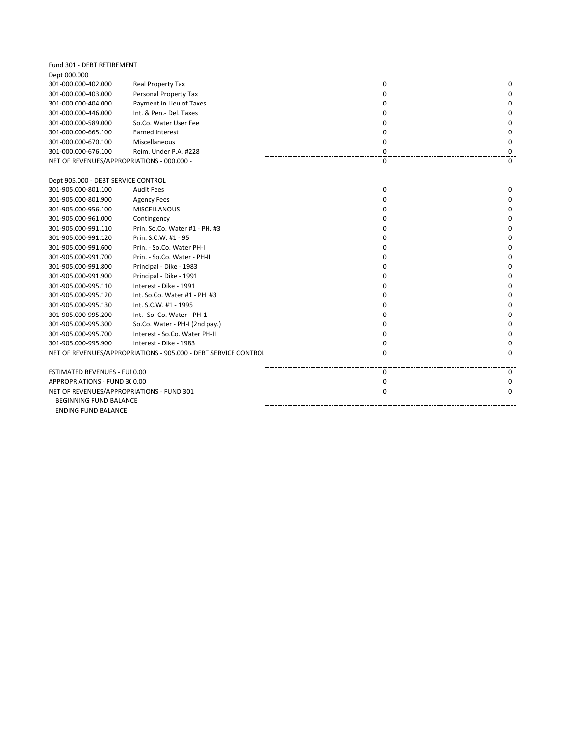| Fund 301 - DEBT RETIREMENT                 |                                                                 |             |          |
|--------------------------------------------|-----------------------------------------------------------------|-------------|----------|
| Dept 000.000                               |                                                                 |             |          |
| 301-000.000-402.000                        | Real Property Tax                                               | 0           | 0        |
| 301-000.000-403.000                        | Personal Property Tax                                           | 0           | 0        |
| 301-000.000-404.000                        | Payment in Lieu of Taxes                                        | 0           | 0        |
| 301-000.000-446.000                        | Int. & Pen.- Del. Taxes                                         | 0           | 0        |
| 301-000.000-589.000                        | So.Co. Water User Fee                                           | 0           | 0        |
| 301-000.000-665.100                        | <b>Earned Interest</b>                                          | 0           | 0        |
| 301-000.000-670.100                        | Miscellaneous                                                   | 0           | 0        |
| 301-000.000-676.100                        | Reim. Under P.A. #228                                           | 0           | 0        |
| NET OF REVENUES/APPROPRIATIONS - 000.000 - |                                                                 | 0           | 0        |
| Dept 905.000 - DEBT SERVICE CONTROL        |                                                                 |             |          |
| 301-905.000-801.100                        | <b>Audit Fees</b>                                               | 0           | 0        |
| 301-905.000-801.900                        | <b>Agency Fees</b>                                              | 0           | 0        |
| 301-905.000-956.100                        | MISCELLANOUS                                                    | $\Omega$    | $\Omega$ |
| 301-905.000-961.000                        | Contingency                                                     | O           | 0        |
| 301-905.000-991.110                        | Prin. So.Co. Water #1 - PH. #3                                  | O           | $\Omega$ |
| 301-905.000-991.120                        | Prin. S.C.W. #1 - 95                                            | O           | 0        |
| 301-905.000-991.600                        | Prin. - So.Co. Water PH-I                                       | O           | 0        |
| 301-905.000-991.700                        | Prin. - So.Co. Water - PH-II                                    | O           | 0        |
| 301-905.000-991.800                        | Principal - Dike - 1983                                         | $\Omega$    | 0        |
| 301-905.000-991.900                        | Principal - Dike - 1991                                         | $\Omega$    | 0        |
| 301-905.000-995.110                        | Interest - Dike - 1991                                          | $\Omega$    | 0        |
| 301-905.000-995.120                        | Int. So.Co. Water #1 - PH. #3                                   | O           | 0        |
| 301-905.000-995.130                        | Int. S.C.W. #1 - 1995                                           | O           | 0        |
| 301-905.000-995.200                        | Int.- So. Co. Water - PH-1                                      | O           | 0        |
| 301-905.000-995.300                        | So.Co. Water - PH-I (2nd pay.)                                  | $\mathbf 0$ | 0        |
| 301-905.000-995.700                        | Interest - So.Co. Water PH-II                                   | 0           | 0        |
| 301-905.000-995.900                        | Interest - Dike - 1983                                          | 0           | 0        |
|                                            | NET OF REVENUES/APPROPRIATIONS - 905.000 - DEBT SERVICE CONTROL | $\Omega$    | 0        |
| ESTIMATED REVENUES - FUI 0.00              |                                                                 | 0           | 0        |
| APPROPRIATIONS - FUND 3C0.00               |                                                                 | $\mathbf 0$ | 0        |
| NET OF REVENUES/APPROPRIATIONS - FUND 301  |                                                                 | $\Omega$    | 0        |
| BEGINNING FUND BALANCE                     |                                                                 |             |          |
| <b>ENDING FUND BALANCE</b>                 |                                                                 |             |          |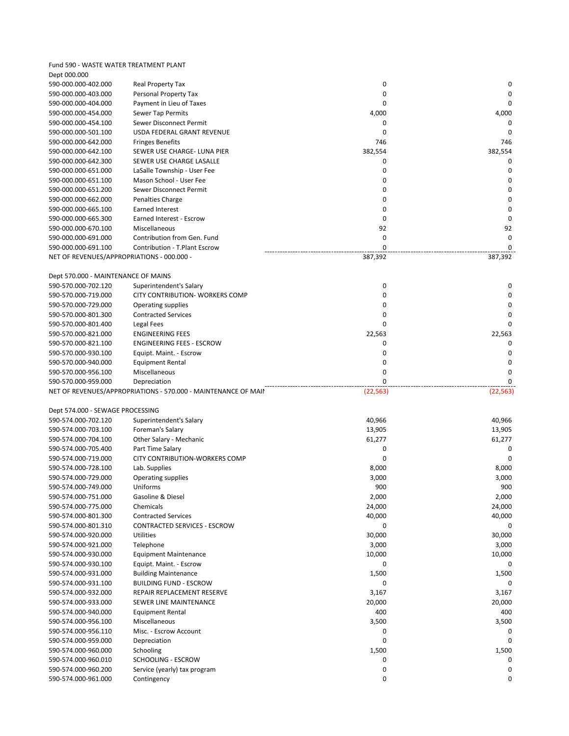Fund 590 - WASTE WATER TREATMENT PLANT Dept 000.000

| 590-000.000-402.000                        | Real Property Tax                                              | 0                | 0           |
|--------------------------------------------|----------------------------------------------------------------|------------------|-------------|
| 590-000.000-403.000                        | Personal Property Tax                                          | 0                | 0           |
| 590-000.000-404.000                        | Payment in Lieu of Taxes                                       | $\Omega$         | $\Omega$    |
| 590-000.000-454.000                        | Sewer Tap Permits                                              | 4,000            | 4,000       |
| 590-000.000-454.100                        | Sewer Disconnect Permit                                        | $\mathbf 0$      | 0           |
| 590-000.000-501.100                        | USDA FEDERAL GRANT REVENUE                                     | $\mathbf 0$      | 0           |
| 590-000.000-642.000                        | <b>Fringes Benefits</b>                                        | 746              | 746         |
| 590-000.000-642.100                        | SEWER USE CHARGE- LUNA PIER                                    | 382,554          | 382,554     |
| 590-000.000-642.300                        | SEWER USE CHARGE LASALLE                                       | 0                | 0           |
| 590-000.000-651.000                        | LaSalle Township - User Fee                                    | $\mathbf 0$      | 0           |
| 590-000.000-651.100                        | Mason School - User Fee                                        | $\mathbf 0$      | $\mathbf 0$ |
| 590-000.000-651.200                        | Sewer Disconnect Permit                                        | 0                | 0           |
| 590-000.000-662.000                        | Penalties Charge                                               | 0                | 0           |
| 590-000.000-665.100                        | Earned Interest                                                | 0                | $\mathbf 0$ |
| 590-000.000-665.300                        | Earned Interest - Escrow                                       | 0                | $\mathbf 0$ |
| 590-000.000-670.100                        | Miscellaneous                                                  | 92               | 92          |
| 590-000.000-691.000                        | Contribution from Gen. Fund                                    | 0                | 0           |
| 590-000.000-691.100                        | Contribution - T.Plant Escrow                                  | 0                | 0           |
| NET OF REVENUES/APPROPRIATIONS - 000.000 - |                                                                | 387,392          | 387,392     |
|                                            |                                                                |                  |             |
| Dept 570.000 - MAINTENANCE OF MAINS        |                                                                |                  |             |
|                                            |                                                                | 0                | 0           |
| 590-570.000-702.120                        | Superintendent's Salary                                        |                  |             |
| 590-570.000-719.000                        | CITY CONTRIBUTION- WORKERS COMP                                | 0<br>$\mathbf 0$ | 0           |
| 590-570.000-729.000                        | Operating supplies                                             |                  | 0           |
| 590-570.000-801.300                        | <b>Contracted Services</b>                                     | $\mathbf 0$      | $\Omega$    |
| 590-570.000-801.400                        | Legal Fees                                                     | $\Omega$         | $\Omega$    |
| 590-570.000-821.000                        | <b>ENGINEERING FEES</b>                                        | 22,563           | 22,563      |
| 590-570.000-821.100                        | <b>ENGINEERING FEES - ESCROW</b>                               | 0                | 0           |
| 590-570.000-930.100                        | Equipt. Maint. - Escrow                                        | 0                | 0           |
| 590-570.000-940.000                        | Equipment Rental                                               | 0                | 0           |
| 590-570.000-956.100                        | Miscellaneous                                                  | 0<br>0           | 0           |
| 590-570.000-959.000                        |                                                                |                  | $\Omega$    |
|                                            | Depreciation                                                   |                  |             |
|                                            | NET OF REVENUES/APPROPRIATIONS - 570.000 - MAINTENANCE OF MAIN | (22, 563)        | (22, 563)   |
|                                            |                                                                |                  |             |
| Dept 574.000 - SEWAGE PROCESSING           |                                                                |                  |             |
| 590-574.000-702.120                        | Superintendent's Salary                                        | 40,966           | 40,966      |
| 590-574.000-703.100                        | Foreman's Salary                                               | 13,905           | 13,905      |
| 590-574.000-704.100                        | Other Salary - Mechanic                                        | 61,277           | 61,277      |
| 590-574.000-705.400                        | Part Time Salary                                               | 0                | 0           |
| 590-574.000-719.000                        | CITY CONTRIBUTION-WORKERS COMP                                 | $\mathbf 0$      | $\Omega$    |
| 590-574.000-728.100                        | Lab. Supplies                                                  | 8,000            | 8,000       |
| 590-574.000-729.000                        | Operating supplies                                             | 3,000            | 3,000       |
| 590-574.000-749.000                        | Uniforms                                                       | 900              | 900         |
| 590-574.000-751.000                        | Gasoline & Diesel                                              | 2,000            | 2,000       |
| 590-574.000-775.000                        | Chemicals                                                      | 24,000           | 24,000      |
| 590-574.000-801.300                        | <b>Contracted Services</b>                                     | 40,000           | 40,000      |
| 590-574.000-801.310                        | CONTRACTED SERVICES - ESCROW                                   | 0                | 0           |
| 590-574.000-920.000                        | Utilities                                                      | 30,000           | 30,000      |
| 590-574.000-921.000                        | Telephone                                                      | 3,000            | 3,000       |
| 590-574.000-930.000                        | <b>Equipment Maintenance</b>                                   | 10,000           | 10,000      |
| 590-574.000-930.100                        | Equipt. Maint. - Escrow                                        | 0                | 0           |
| 590-574.000-931.000                        | <b>Building Maintenance</b>                                    | 1,500            | 1,500       |
| 590-574.000-931.100                        | <b>BUILDING FUND - ESCROW</b>                                  | 0                |             |
| 590-574.000-932.000                        | REPAIR REPLACEMENT RESERVE                                     | 3,167            | 3,167       |
| 590-574.000-933.000                        | SEWER LINE MAINTENANCE                                         | 20,000           | 20,000      |
| 590-574.000-940.000                        | Equipment Rental                                               | 400              | 400         |
| 590-574.000-956.100                        | Miscellaneous                                                  | 3,500            | 3,500       |
| 590-574.000-956.110                        | Misc. - Escrow Account                                         | 0                | 0           |
| 590-574.000-959.000                        | Depreciation                                                   | 0                | 0           |
| 590-574.000-960.000                        | Schooling                                                      | 1,500            | 1,500       |
| 590-574.000-960.010                        | SCHOOLING - ESCROW                                             | 0                |             |
| 590-574.000-960.200                        | Service (yearly) tax program                                   | 0                | 0           |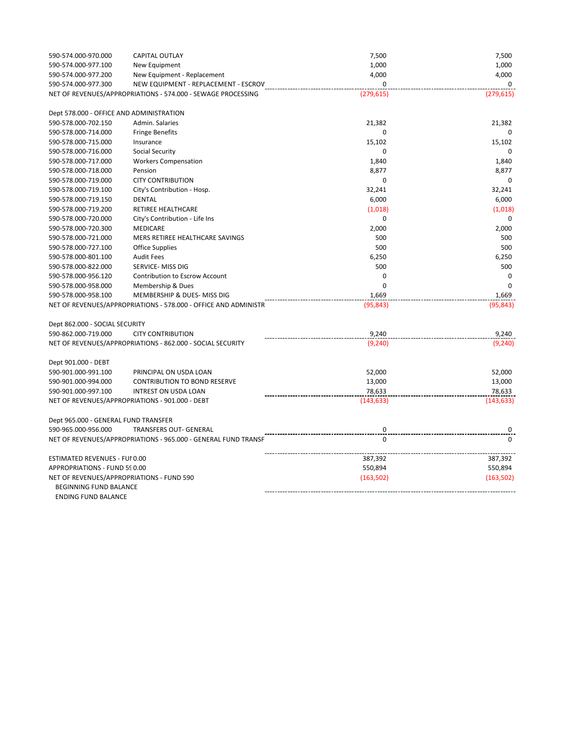| 590-574.000-970.000                      | <b>CAPITAL OUTLAY</b>                                           | 7,500       | 7,500       |
|------------------------------------------|-----------------------------------------------------------------|-------------|-------------|
| 590-574.000-977.100                      | New Equipment                                                   | 1,000       | 1,000       |
| 590-574.000-977.200                      | New Equipment - Replacement                                     | 4,000       | 4,000       |
| 590-574.000-977.300                      | NEW EQUIPMENT - REPLACEMENT - ESCROV                            | $\Omega$    | $\Omega$    |
|                                          | NET OF REVENUES/APPROPRIATIONS - 574.000 - SEWAGE PROCESSING    | (279, 615)  | (279, 615)  |
| Dept 578.000 - OFFICE AND ADMINISTRATION |                                                                 |             |             |
| 590-578.000-702.150                      | Admin. Salaries                                                 | 21,382      | 21,382      |
| 590-578.000-714.000                      | <b>Fringe Benefits</b>                                          | 0           | $\Omega$    |
| 590-578.000-715.000                      | Insurance                                                       | 15,102      | 15,102      |
| 590-578.000-716.000                      | Social Security                                                 | 0           | 0           |
| 590-578.000-717.000                      | <b>Workers Compensation</b>                                     | 1,840       | 1,840       |
| 590-578.000-718.000                      | Pension                                                         | 8,877       | 8,877       |
| 590-578.000-719.000                      | <b>CITY CONTRIBUTION</b>                                        | $\mathbf 0$ | $\mathbf 0$ |
| 590-578.000-719.100                      | City's Contribution - Hosp.                                     | 32,241      | 32,241      |
| 590-578.000-719.150                      | DENTAL                                                          | 6,000       | 6,000       |
| 590-578.000-719.200                      | RETIREE HEALTHCARE                                              | (1,018)     | (1,018)     |
| 590-578.000-720.000                      | City's Contribution - Life Ins                                  | 0           | 0           |
| 590-578.000-720.300                      | MEDICARE                                                        | 2,000       | 2,000       |
| 590-578.000-721.000                      | MERS RETIREE HEALTHCARE SAVINGS                                 | 500         | 500         |
| 590-578.000-727.100                      | <b>Office Supplies</b>                                          | 500         | 500         |
| 590-578.000-801.100                      | <b>Audit Fees</b>                                               | 6,250       | 6,250       |
| 590-578.000-822.000                      | SERVICE- MISS DIG                                               | 500         | 500         |
| 590-578.000-956.120                      | Contribution to Escrow Account                                  | $\mathbf 0$ | 0           |
| 590-578.000-958.000                      | Membership & Dues                                               | $\mathbf 0$ | $\Omega$    |
| 590-578.000-958.100                      | MEMBERSHIP & DUES- MISS DIG                                     | 1,669       | 1,669       |
|                                          | NET OF REVENUES/APPROPRIATIONS - 578.000 - OFFICE AND ADMINISTR | (95, 843)   | (95, 843)   |
| Dept 862.000 - SOCIAL SECURITY           |                                                                 |             |             |
| 590-862.000-719.000                      | <b>CITY CONTRIBUTION</b>                                        | 9,240       | 9,240       |
|                                          | NET OF REVENUES/APPROPRIATIONS - 862.000 - SOCIAL SECURITY      | (9, 240)    | (9, 240)    |
| Dept 901.000 - DEBT                      |                                                                 |             |             |
| 590-901.000-991.100                      | PRINCIPAL ON USDA LOAN                                          | 52,000      | 52,000      |
| 590-901.000-994.000                      | <b>CONTRIBUTION TO BOND RESERVE</b>                             | 13,000      | 13,000      |
| 590-901.000-997.100                      | INTREST ON USDA LOAN                                            | 78,633      | 78,633      |
|                                          | NET OF REVENUES/APPROPRIATIONS - 901.000 - DEBT                 | (143, 633)  | (143, 633)  |
| Dept 965.000 - GENERAL FUND TRANSFER     |                                                                 |             |             |
| 590-965.000-956.000                      | <b>TRANSFERS OUT- GENERAL</b>                                   | 0           |             |
|                                          | NET OF REVENUES/APPROPRIATIONS - 965.000 - GENERAL FUND TRANSF  | $\Omega$    | $\Omega$    |
| <b>ESTIMATED REVENUES - FUI 0.00</b>     |                                                                 | 387,392     | 387,392     |
| APPROPRIATIONS - FUND 590.00             |                                                                 | 550,894     | 550,894     |
| BEGINNING FUND BALANCE                   | NET OF REVENUES/APPROPRIATIONS - FUND 590                       | (163, 502)  | (163, 502)  |
| <b>ENDING FUND BALANCE</b>               |                                                                 |             |             |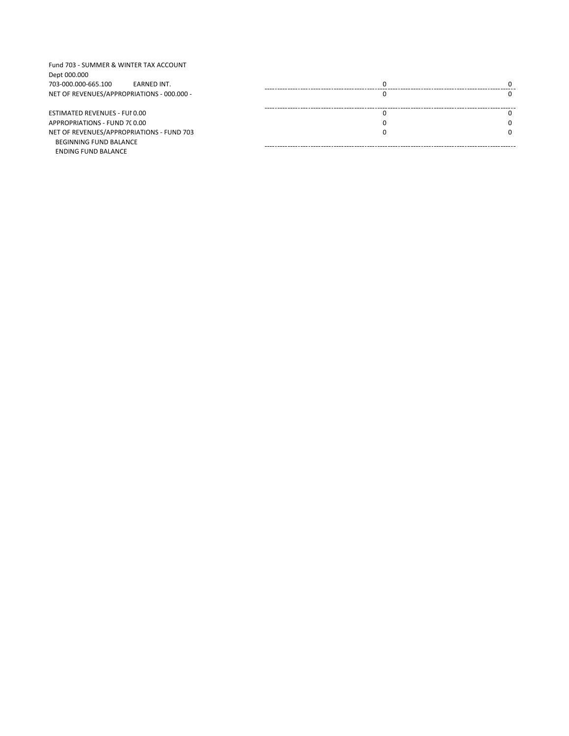| Fund 703 - SUMMER & WINTER TAX ACCOUNT<br>Dept 000.000 |              |
|--------------------------------------------------------|--------------|
| 703-000.000-665.100<br>EARNED INT.                     | <sup>0</sup> |
| NET OF REVENUES/APPROPRIATIONS - 000.000 -             |              |
|                                                        |              |
| ESTIMATED REVENUES - FUI 0.00                          | 0            |
|                                                        |              |
| APPROPRIATIONS - FUND 7C0.00                           | <sup>0</sup> |
| NET OF REVENUES/APPROPRIATIONS - FUND 703              | <sup>0</sup> |
| BEGINNING FUND BALANCE                                 |              |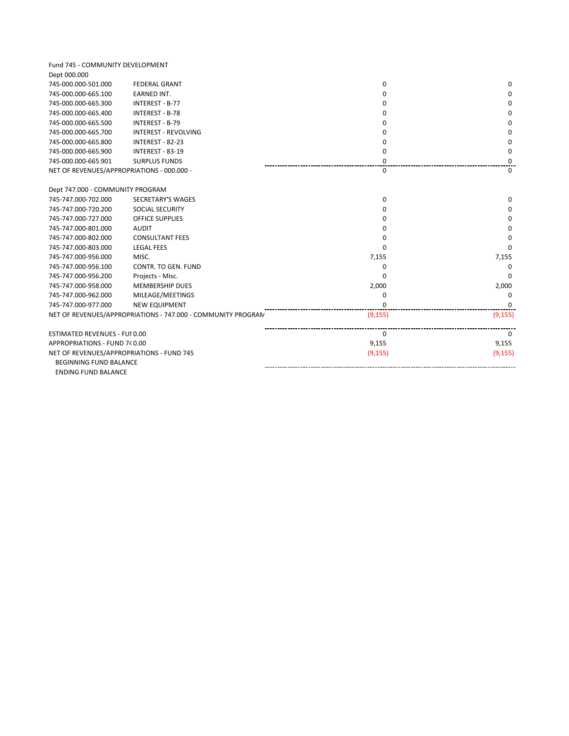| Fund 745 - COMMUNITY DEVELOPMENT           |                                                              |              |          |
|--------------------------------------------|--------------------------------------------------------------|--------------|----------|
| Dept 000.000                               |                                                              |              |          |
| 745-000.000-501.000                        | <b>FEDERAL GRANT</b>                                         | 0            | $\Omega$ |
| 745-000.000-665.100                        | <b>EARNED INT.</b>                                           | $\Omega$     | $\Omega$ |
| 745-000.000-665.300                        | INTEREST - B-77                                              | $\Omega$     | $\Omega$ |
| 745-000.000-665.400                        | <b>INTEREST - B-78</b>                                       | 0            | 0        |
| 745-000.000-665.500                        | INTEREST - B-79                                              | <sup>0</sup> | $\Omega$ |
| 745-000.000-665.700                        | <b>INTEREST - REVOLVING</b>                                  | $\Omega$     | $\Omega$ |
| 745-000.000-665.800                        | INTEREST - 82-23                                             | 0            | 0        |
| 745-000.000-665.900                        | INTEREST - 83-19                                             | $\Omega$     | 0        |
| 745-000.000-665.901                        | <b>SURPLUS FUNDS</b>                                         | 0            | $\Omega$ |
| NET OF REVENUES/APPROPRIATIONS - 000.000 - |                                                              | 0            | 0        |
| Dept 747.000 - COMMUNITY PROGRAM           |                                                              |              |          |
| 745-747.000-702.000                        | SECRETARY'S WAGES                                            | 0            | $\Omega$ |
| 745-747.000-720.200                        | <b>SOCIAL SECURITY</b>                                       | 0            | 0        |
| 745-747.000-727.000                        | <b>OFFICE SUPPLIES</b>                                       | $\Omega$     | $\Omega$ |
| 745-747.000-801.000                        | <b>AUDIT</b>                                                 | $\Omega$     | $\Omega$ |
| 745-747.000-802.000                        | <b>CONSULTANT FEES</b>                                       | $\Omega$     | $\Omega$ |
| 745-747.000-803.000                        | <b>LEGAL FEES</b>                                            | $\Omega$     | 0        |
| 745-747.000-956.000                        | MISC.                                                        | 7,155        | 7,155    |
| 745-747.000-956.100                        | CONTR. TO GEN. FUND                                          | $\Omega$     | $\Omega$ |
| 745-747.000-956.200                        | Projects - Misc.                                             | 0            | $\Omega$ |
| 745-747.000-958.000                        | MEMBERSHIP DUES                                              | 2,000        | 2,000    |
| 745-747.000-962.000                        | MILEAGE/MEETINGS                                             | 0            | 0        |
| 745-747.000-977.000                        | <b>NEW EQUIPMENT</b>                                         | $\Omega$     | $\Omega$ |
|                                            | NET OF REVENUES/APPROPRIATIONS - 747.000 - COMMUNITY PROGRAN | (9, 155)     | (9, 155) |
| ESTIMATED REVENUES - FUI 0.00              |                                                              | $\Omega$     | $\Omega$ |
| APPROPRIATIONS - FUND 740.00               |                                                              | 9,155        | 9,155    |
| NET OF REVENUES/APPROPRIATIONS - FUND 745  |                                                              | (9, 155)     | (9, 155) |
| BEGINNING FUND BALANCE                     |                                                              |              |          |
| <b>ENDING FUND BALANCE</b>                 |                                                              |              |          |